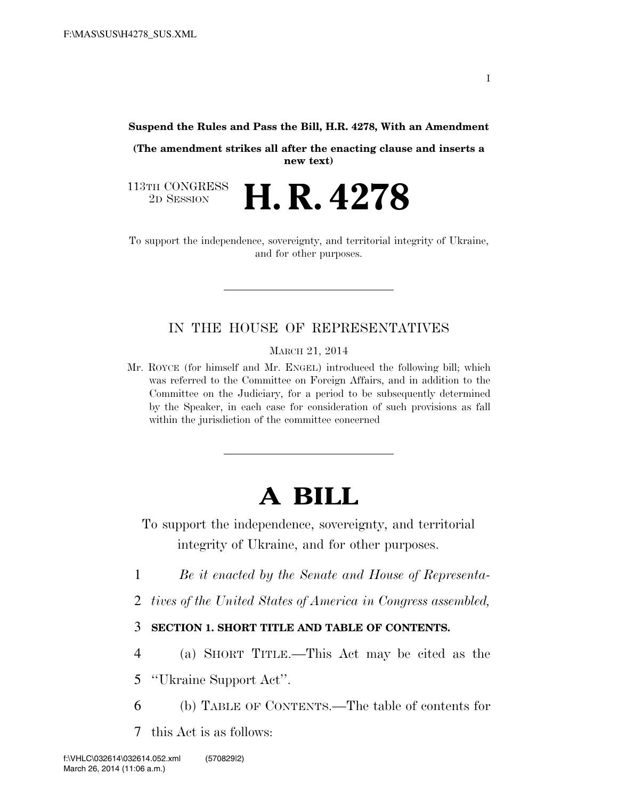**Suspend the Rules and Pass the Bill, H.R. 4278, With an Amendment** 

**(The amendment strikes all after the enacting clause and inserts a new text)** 

2D SESSION **H. R. 4278**

113TH CONGRESS<br>2D SESSION

To support the independence, sovereignty, and territorial integrity of Ukraine, and for other purposes.

### IN THE HOUSE OF REPRESENTATIVES

MARCH 21, 2014

Mr. ROYCE (for himself and Mr. ENGEL) introduced the following bill; which was referred to the Committee on Foreign Affairs, and in addition to the Committee on the Judiciary, for a period to be subsequently determined by the Speaker, in each case for consideration of such provisions as fall within the jurisdiction of the committee concerned

# **A BILL**

To support the independence, sovereignty, and territorial integrity of Ukraine, and for other purposes.

- 1 *Be it enacted by the Senate and House of Representa-*
- 2 *tives of the United States of America in Congress assembled,*

### 3 **SECTION 1. SHORT TITLE AND TABLE OF CONTENTS.**

4 (a) SHORT TITLE.—This Act may be cited as the

5 ''Ukraine Support Act''.

- 6 (b) TABLE OF CONTENTS.—The table of contents for
- 7 this Act is as follows: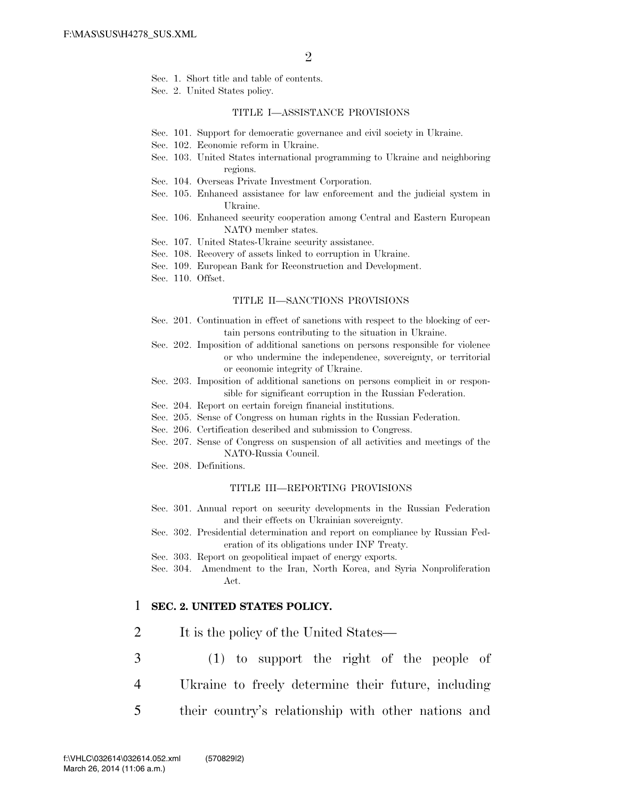- Sec. 1. Short title and table of contents.
- Sec. 2. United States policy.

#### TITLE I—ASSISTANCE PROVISIONS

- Sec. 101. Support for democratic governance and civil society in Ukraine.
- Sec. 102. Economic reform in Ukraine.
- Sec. 103. United States international programming to Ukraine and neighboring regions.
- Sec. 104. Overseas Private Investment Corporation.
- Sec. 105. Enhanced assistance for law enforcement and the judicial system in Ukraine.
- Sec. 106. Enhanced security cooperation among Central and Eastern European NATO member states.
- Sec. 107. United States-Ukraine security assistance.
- Sec. 108. Recovery of assets linked to corruption in Ukraine.
- Sec. 109. European Bank for Reconstruction and Development.
- Sec. 110. Offset.

#### TITLE II—SANCTIONS PROVISIONS

- Sec. 201. Continuation in effect of sanctions with respect to the blocking of certain persons contributing to the situation in Ukraine.
- Sec. 202. Imposition of additional sanctions on persons responsible for violence or who undermine the independence, sovereignty, or territorial or economic integrity of Ukraine.
- Sec. 203. Imposition of additional sanctions on persons complicit in or responsible for significant corruption in the Russian Federation.
- Sec. 204. Report on certain foreign financial institutions.
- Sec. 205. Sense of Congress on human rights in the Russian Federation.
- Sec. 206. Certification described and submission to Congress.
- Sec. 207. Sense of Congress on suspension of all activities and meetings of the NATO-Russia Council.
- Sec. 208. Definitions.

#### TITLE III—REPORTING PROVISIONS

- Sec. 301. Annual report on security developments in the Russian Federation and their effects on Ukrainian sovereignty.
- Sec. 302. Presidential determination and report on compliance by Russian Federation of its obligations under INF Treaty.
- Sec. 303. Report on geopolitical impact of energy exports.
- Sec. 304. Amendment to the Iran, North Korea, and Syria Nonproliferation Act.

### 1 **SEC. 2. UNITED STATES POLICY.**

- 2 It is the policy of the United States—
- 3 (1) to support the right of the people of 4 Ukraine to freely determine their future, including
- 
- 5 their country's relationship with other nations and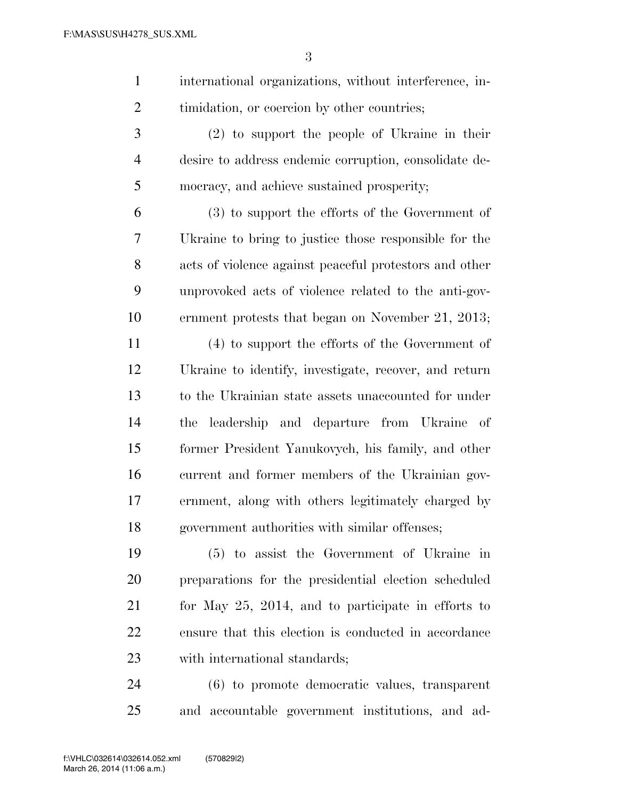international organizations, without interference, in-2 timidation, or coercion by other countries;

 (2) to support the people of Ukraine in their desire to address endemic corruption, consolidate de-mocracy, and achieve sustained prosperity;

 (3) to support the efforts of the Government of Ukraine to bring to justice those responsible for the acts of violence against peaceful protestors and other unprovoked acts of violence related to the anti-gov-ernment protests that began on November 21, 2013;

 (4) to support the efforts of the Government of Ukraine to identify, investigate, recover, and return to the Ukrainian state assets unaccounted for under the leadership and departure from Ukraine of former President Yanukovych, his family, and other current and former members of the Ukrainian gov- ernment, along with others legitimately charged by government authorities with similar offenses;

 (5) to assist the Government of Ukraine in preparations for the presidential election scheduled for May 25, 2014, and to participate in efforts to ensure that this election is conducted in accordance with international standards;

 (6) to promote democratic values, transparent and accountable government institutions, and ad-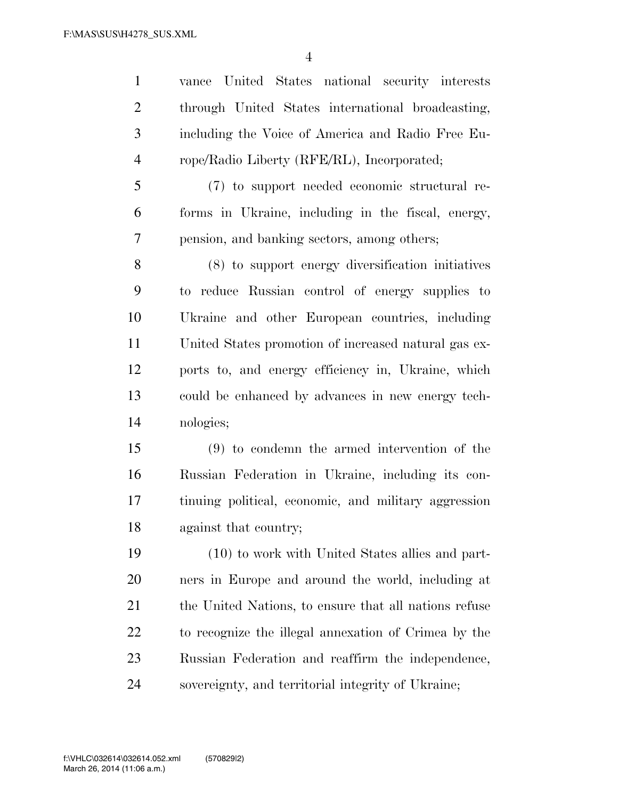vance United States national security interests through United States international broadcasting, including the Voice of America and Radio Free Eu-rope/Radio Liberty (RFE/RL), Incorporated;

 (7) to support needed economic structural re- forms in Ukraine, including in the fiscal, energy, pension, and banking sectors, among others;

 (8) to support energy diversification initiatives to reduce Russian control of energy supplies to Ukraine and other European countries, including United States promotion of increased natural gas ex- ports to, and energy efficiency in, Ukraine, which could be enhanced by advances in new energy tech-nologies;

 (9) to condemn the armed intervention of the Russian Federation in Ukraine, including its con- tinuing political, economic, and military aggression against that country;

 (10) to work with United States allies and part- ners in Europe and around the world, including at the United Nations, to ensure that all nations refuse to recognize the illegal annexation of Crimea by the Russian Federation and reaffirm the independence, sovereignty, and territorial integrity of Ukraine;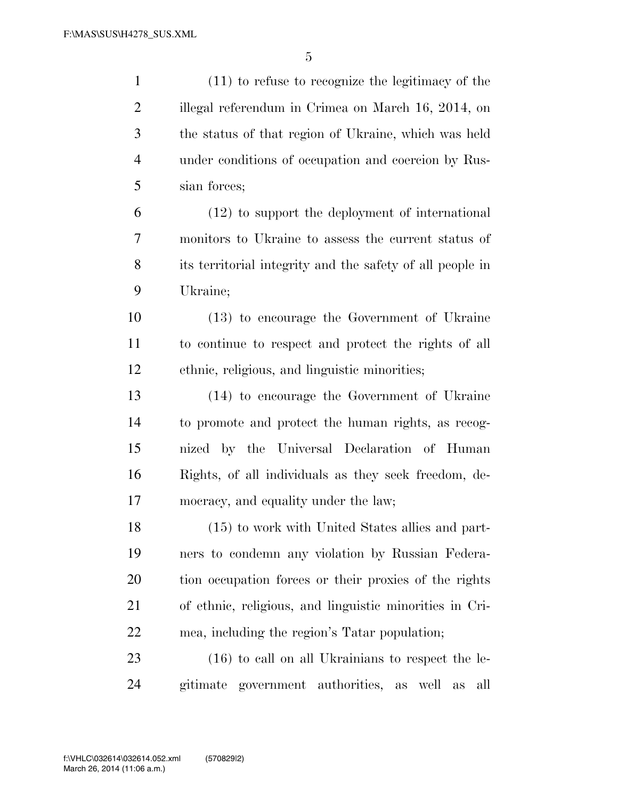| $\mathbf{1}$   | $(11)$ to refuse to recognize the legitimacy of the                  |
|----------------|----------------------------------------------------------------------|
| $\overline{2}$ | illegal referendum in Crimea on March 16, 2014, on                   |
| 3              | the status of that region of Ukraine, which was held                 |
| $\overline{4}$ | under conditions of occupation and coercion by Rus-                  |
| 5              | sian forces;                                                         |
| 6              | (12) to support the deployment of international                      |
| 7              | monitors to Ukraine to assess the current status of                  |
| 8              | its territorial integrity and the safety of all people in            |
| 9              | Ukraine;                                                             |
| 10             | (13) to encourage the Government of Ukraine                          |
| 11             | to continue to respect and protect the rights of all                 |
| 12             | ethnic, religious, and linguistic minorities;                        |
| 13             | (14) to encourage the Government of Ukraine                          |
| 14             | to promote and protect the human rights, as recog-                   |
| 15             | nized by the Universal Declaration of Human                          |
| 16             | Rights, of all individuals as they seek freedom, de-                 |
| 17             | mocracy, and equality under the law;                                 |
| 18             | (15) to work with United States allies and part-                     |
| 19             | ners to condemn any violation by Russian Federa-                     |
| 20             | tion occupation forces or their proxies of the rights                |
| 21             | of ethnic, religious, and linguistic minorities in Cri-              |
| 22             | mea, including the region's Tatar population;                        |
| 23             | $(16)$ to call on all Ukrainians to respect the le-                  |
| 24             | government authorities,<br>gitimate<br>well<br>all<br>as<br>$\rm as$ |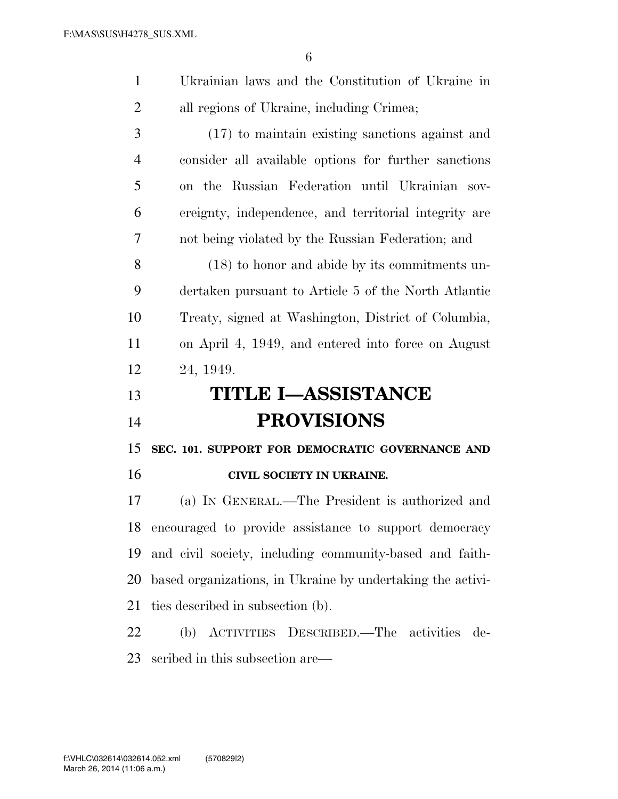| $\mathbf{1}$   | Ukrainian laws and the Constitution of Ukraine in          |
|----------------|------------------------------------------------------------|
| $\overline{2}$ | all regions of Ukraine, including Crimea;                  |
| 3              | $(17)$ to maintain existing sanctions against and          |
| 4              | consider all available options for further sanctions       |
| 5              | on the Russian Federation until Ukrainian sov-             |
| 6              | ereignty, independence, and territorial integrity are      |
| 7              | not being violated by the Russian Federation; and          |
| 8              | (18) to honor and abide by its commitments un-             |
| 9              | dertaken pursuant to Article 5 of the North Atlantic       |
| 10             | Treaty, signed at Washington, District of Columbia,        |
| 11             | on April 4, 1949, and entered into force on August         |
| 12             | 24, 1949.                                                  |
|                |                                                            |
| 13             | <b>TITLE I-ASSISTANCE</b>                                  |
| 14             | <b>PROVISIONS</b>                                          |
| 15             | SEC. 101. SUPPORT FOR DEMOCRATIC GOVERNANCE AND            |
| 16             | CIVIL SOCIETY IN UKRAINE.                                  |
| 17             | (a) IN GENERAL.—The President is authorized and            |
| 18             | encouraged to provide assistance to support democracy      |
| 19             | and civil society, including community-based and faith-    |
| 20             | based organizations, in Ukraine by undertaking the activi- |
| 21             | ties described in subsection (b).                          |
| 22             | (b) ACTIVITIES DESCRIBED.—The activities<br>de-            |
| 23             | scribed in this subsection are—                            |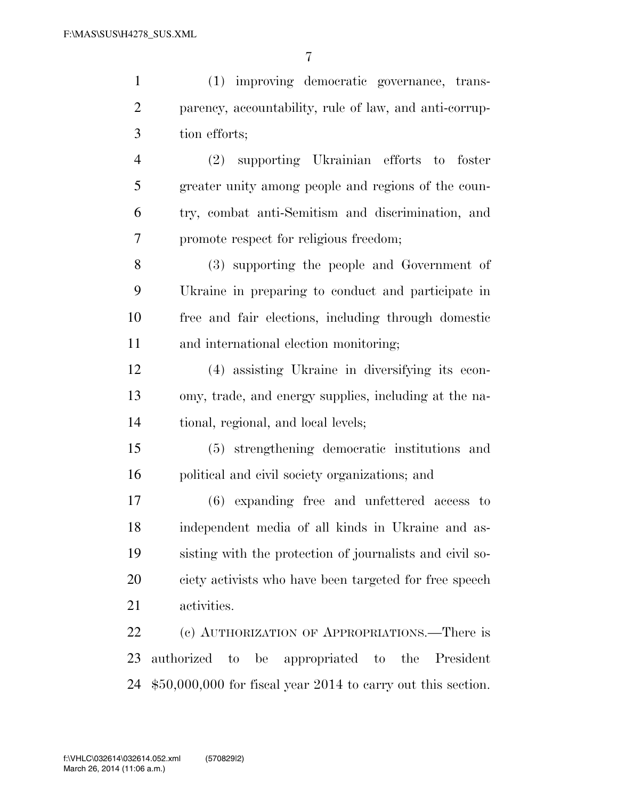| $\mathbf{1}$   | (1) improving democratic governance, trans-                   |
|----------------|---------------------------------------------------------------|
| $\overline{2}$ | parency, accountability, rule of law, and anti-corrup-        |
| 3              | tion efforts;                                                 |
| $\overline{4}$ | (2) supporting Ukrainian efforts to foster                    |
| 5              | greater unity among people and regions of the coun-           |
| 6              | try, combat anti-Semitism and discrimination, and             |
| $\overline{7}$ | promote respect for religious freedom;                        |
| 8              | (3) supporting the people and Government of                   |
| 9              | Ukraine in preparing to conduct and participate in            |
| 10             | free and fair elections, including through domestic           |
| 11             | and international election monitoring;                        |
| 12             | (4) assisting Ukraine in diversifying its econ-               |
| 13             | omy, trade, and energy supplies, including at the na-         |
| 14             | tional, regional, and local levels;                           |
| 15             | (5) strengthening democratic institutions and                 |
| 16             | political and civil society organizations; and                |
| 17             | (6) expanding free and unfettered access to                   |
| 18             | independent media of all kinds in Ukraine and as-             |
| 19             | sisting with the protection of journalists and civil so-      |
| 20             | ciety activists who have been targeted for free speech        |
| 21             | activities.                                                   |
| 22             | (c) AUTHORIZATION OF APPROPRIATIONS.—There is                 |
| 23             | authorized to be appropriated to the President                |
| 24             | $$50,000,000$ for fiscal year 2014 to carry out this section. |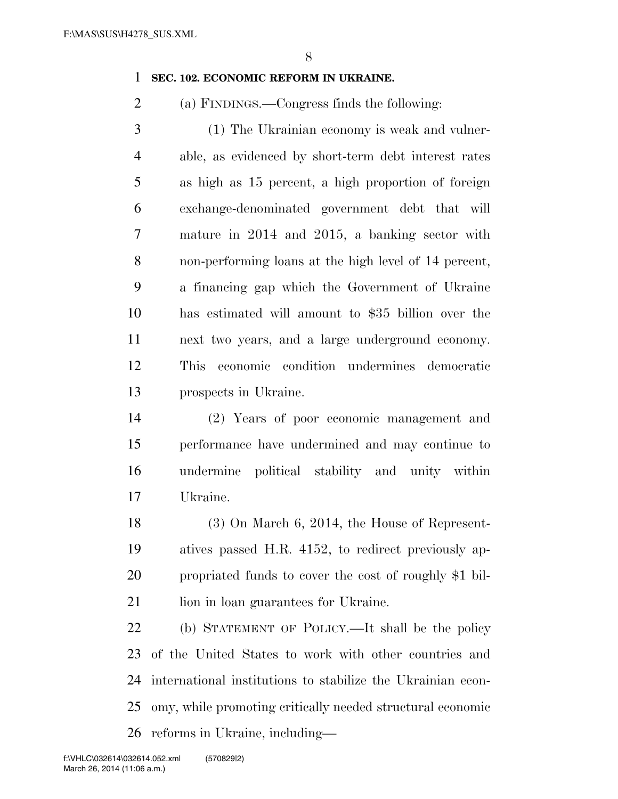### **SEC. 102. ECONOMIC REFORM IN UKRAINE.**

(a) FINDINGS.—Congress finds the following:

 (1) The Ukrainian economy is weak and vulner- able, as evidenced by short-term debt interest rates as high as 15 percent, a high proportion of foreign exchange-denominated government debt that will mature in 2014 and 2015, a banking sector with non-performing loans at the high level of 14 percent, a financing gap which the Government of Ukraine has estimated will amount to \$35 billion over the next two years, and a large underground economy. This economic condition undermines democratic prospects in Ukraine.

 (2) Years of poor economic management and performance have undermined and may continue to undermine political stability and unity within Ukraine.

 (3) On March 6, 2014, the House of Represent- atives passed H.R. 4152, to redirect previously ap- propriated funds to cover the cost of roughly \$1 bil-21 lion in loan guarantees for Ukraine.

 (b) STATEMENT OF POLICY.—It shall be the policy of the United States to work with other countries and international institutions to stabilize the Ukrainian econ- omy, while promoting critically needed structural economic reforms in Ukraine, including—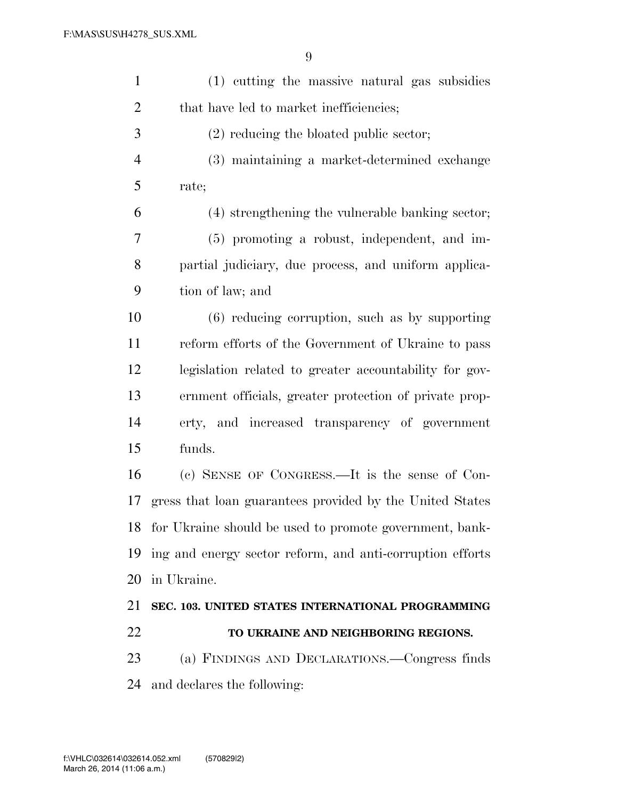| $\mathbf{1}$   | (1) cutting the massive natural gas subsidies              |
|----------------|------------------------------------------------------------|
| $\overline{c}$ | that have led to market inefficiencies;                    |
| 3              | $(2)$ reducing the bloated public sector;                  |
| 4              | (3) maintaining a market-determined exchange               |
| 5              | rate;                                                      |
| 6              | (4) strengthening the vulnerable banking sector;           |
| 7              | (5) promoting a robust, independent, and im-               |
| 8              | partial judiciary, due process, and uniform applica-       |
| 9              | tion of law; and                                           |
| 10             | $(6)$ reducing corruption, such as by supporting           |
| 11             | reform efforts of the Government of Ukraine to pass        |
| 12             | legislation related to greater accountability for gov-     |
| 13             | ernment officials, greater protection of private prop-     |
| 14             | erty, and increased transparency of government             |
| 15             | funds.                                                     |
| 16             | (c) SENSE OF CONGRESS.—It is the sense of Con-             |
| 17             | gress that loan guarantees provided by the United States   |
|                | 18 for Ukraine should be used to promote government, bank- |
| 19             | ing and energy sector reform, and anti-corruption efforts  |
| 20             | in Ukraine.                                                |
| 21             | SEC. 103. UNITED STATES INTERNATIONAL PROGRAMMING          |
| 22             | TO UKRAINE AND NEIGHBORING REGIONS.                        |
| 23             | (a) FINDINGS AND DECLARATIONS.—Congress finds              |
| 24             | and declares the following:                                |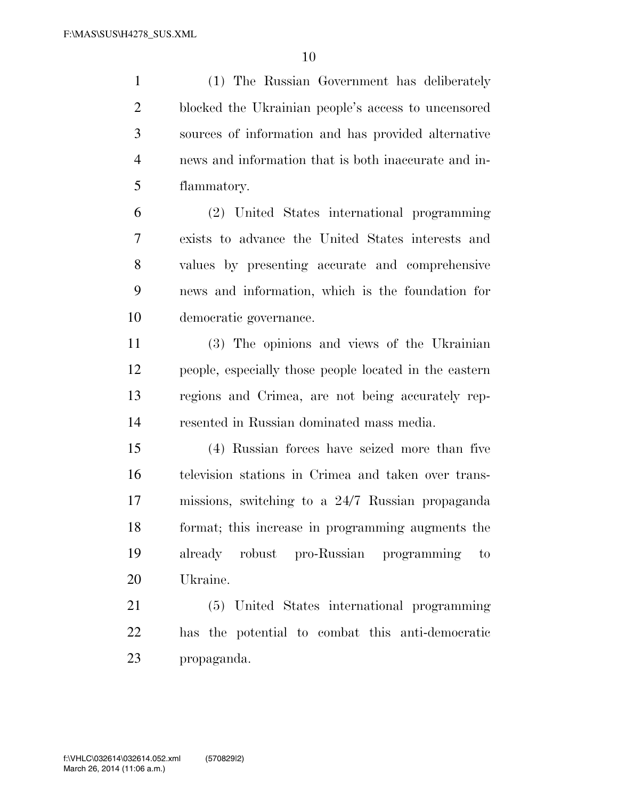(1) The Russian Government has deliberately blocked the Ukrainian people's access to uncensored sources of information and has provided alternative news and information that is both inaccurate and in-flammatory.

 (2) United States international programming exists to advance the United States interests and values by presenting accurate and comprehensive news and information, which is the foundation for democratic governance.

 (3) The opinions and views of the Ukrainian people, especially those people located in the eastern regions and Crimea, are not being accurately rep-resented in Russian dominated mass media.

 (4) Russian forces have seized more than five television stations in Crimea and taken over trans- missions, switching to a 24/7 Russian propaganda format; this increase in programming augments the already robust pro-Russian programming to Ukraine.

 (5) United States international programming has the potential to combat this anti-democratic propaganda.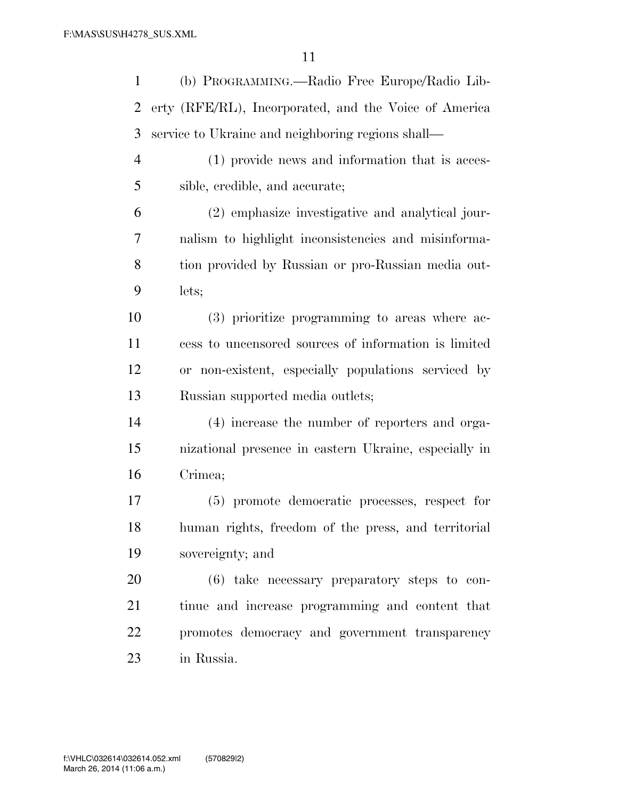| $\mathbf{1}$ | (b) PROGRAMMING.—Radio Free Europe/Radio Lib-         |
|--------------|-------------------------------------------------------|
| 2            | erty (RFE/RL), Incorporated, and the Voice of America |
| 3            | service to Ukraine and neighboring regions shall—     |
| 4            | (1) provide news and information that is acces-       |
| 5            | sible, credible, and accurate;                        |
| 6            | (2) emphasize investigative and analytical jour-      |
| 7            | nalism to highlight inconsistencies and misinforma-   |
| $8\,$        | tion provided by Russian or pro-Russian media out-    |
| 9            | lets;                                                 |
| 10           | (3) prioritize programming to areas where ac-         |
| 11           | cess to uncensored sources of information is limited  |
| 12           | or non-existent, especially populations serviced by   |
| 13           | Russian supported media outlets;                      |
| 14           | (4) increase the number of reporters and orga-        |
| 15           | nizational presence in eastern Ukraine, especially in |
| 16           | Crimea;                                               |
| 17           | (5) promote democratic processes, respect for         |
| 18           | human rights, freedom of the press, and territorial   |
| 19           | sovereignty; and                                      |
| 20           | $(6)$ take necessary preparatory steps to con-        |
| 21           | tinue and increase programming and content that       |
| 22           | promotes democracy and government transparency        |
| 23           | in Russia.                                            |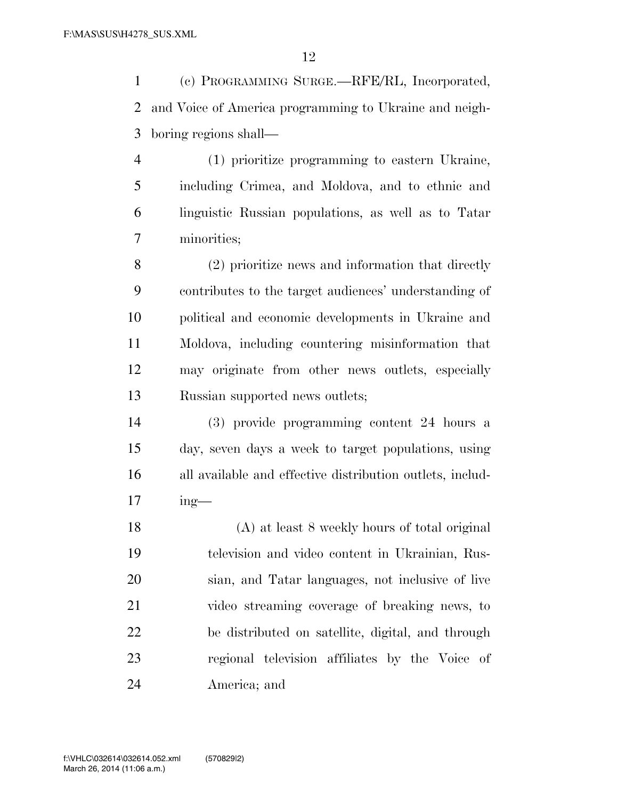(c) PROGRAMMING SURGE.—RFE/RL, Incorporated, and Voice of America programming to Ukraine and neigh-boring regions shall—

 (1) prioritize programming to eastern Ukraine, including Crimea, and Moldova, and to ethnic and linguistic Russian populations, as well as to Tatar minorities;

 (2) prioritize news and information that directly contributes to the target audiences' understanding of political and economic developments in Ukraine and Moldova, including countering misinformation that may originate from other news outlets, especially Russian supported news outlets;

 (3) provide programming content 24 hours a day, seven days a week to target populations, using all available and effective distribution outlets, includ-ing—

 (A) at least 8 weekly hours of total original television and video content in Ukrainian, Rus- sian, and Tatar languages, not inclusive of live video streaming coverage of breaking news, to be distributed on satellite, digital, and through regional television affiliates by the Voice of America; and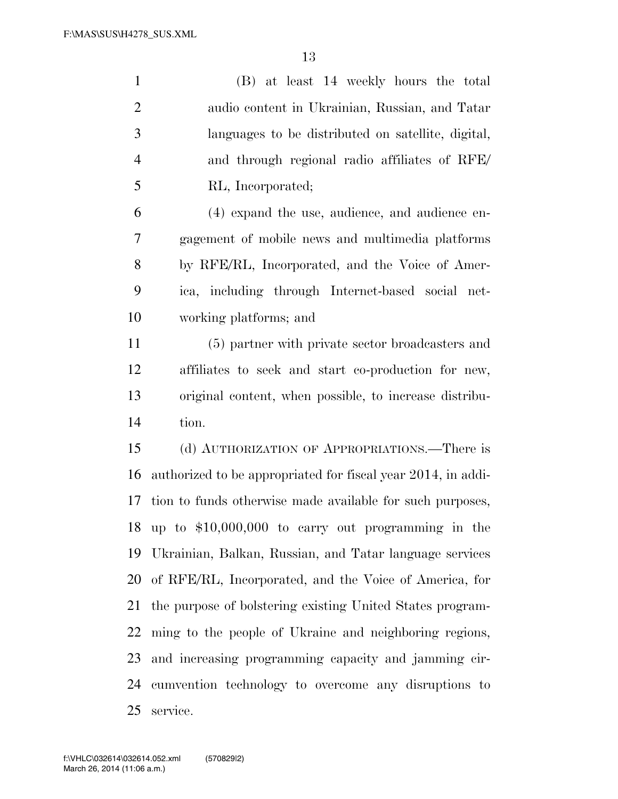(B) at least 14 weekly hours the total audio content in Ukrainian, Russian, and Tatar languages to be distributed on satellite, digital, and through regional radio affiliates of RFE/ RL, Incorporated; (4) expand the use, audience, and audience en- gagement of mobile news and multimedia platforms by RFE/RL, Incorporated, and the Voice of Amer- ica, including through Internet-based social net- working platforms; and (5) partner with private sector broadcasters and affiliates to seek and start co-production for new, original content, when possible, to increase distribu- tion. (d) AUTHORIZATION OF APPROPRIATIONS.—There is authorized to be appropriated for fiscal year 2014, in addi- tion to funds otherwise made available for such purposes, up to \$10,000,000 to carry out programming in the

 Ukrainian, Balkan, Russian, and Tatar language services of RFE/RL, Incorporated, and the Voice of America, for the purpose of bolstering existing United States program- ming to the people of Ukraine and neighboring regions, and increasing programming capacity and jamming cir- cumvention technology to overcome any disruptions to service.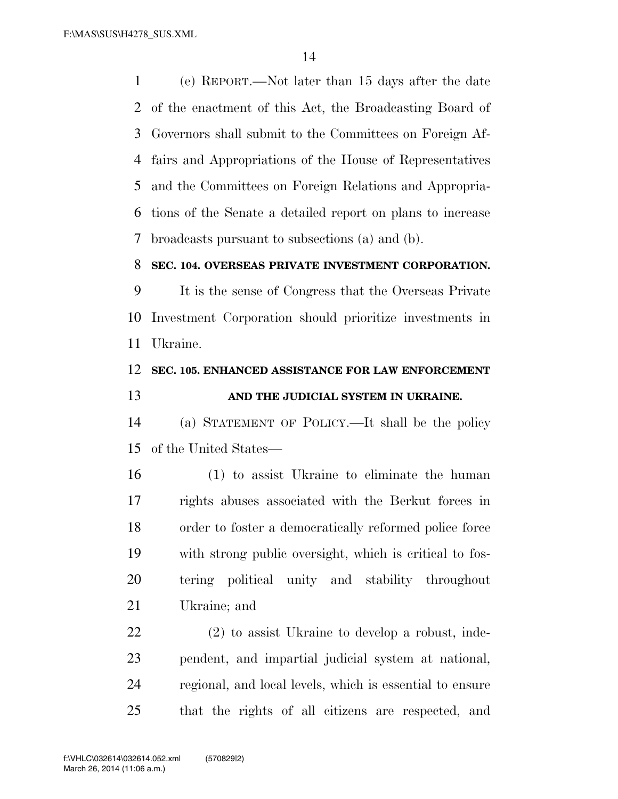(e) REPORT.—Not later than 15 days after the date of the enactment of this Act, the Broadcasting Board of Governors shall submit to the Committees on Foreign Af- fairs and Appropriations of the House of Representatives and the Committees on Foreign Relations and Appropria- tions of the Senate a detailed report on plans to increase broadcasts pursuant to subsections (a) and (b).

### **SEC. 104. OVERSEAS PRIVATE INVESTMENT CORPORATION.**

 It is the sense of Congress that the Overseas Private Investment Corporation should prioritize investments in Ukraine.

## **SEC. 105. ENHANCED ASSISTANCE FOR LAW ENFORCEMENT AND THE JUDICIAL SYSTEM IN UKRAINE.**

 (a) STATEMENT OF POLICY.—It shall be the policy of the United States—

 (1) to assist Ukraine to eliminate the human rights abuses associated with the Berkut forces in order to foster a democratically reformed police force with strong public oversight, which is critical to fos- tering political unity and stability throughout Ukraine; and

 (2) to assist Ukraine to develop a robust, inde- pendent, and impartial judicial system at national, regional, and local levels, which is essential to ensure that the rights of all citizens are respected, and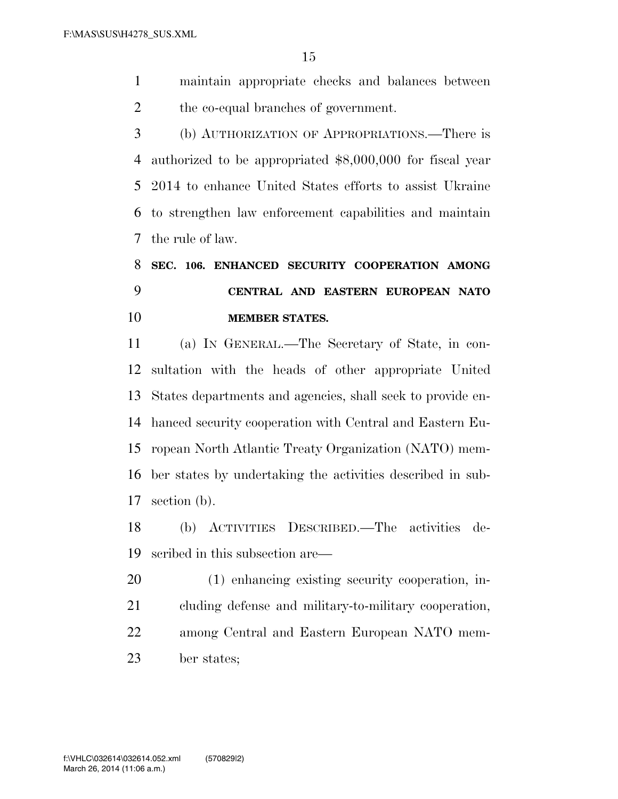maintain appropriate checks and balances between the co-equal branches of government.

 (b) AUTHORIZATION OF APPROPRIATIONS.—There is authorized to be appropriated \$8,000,000 for fiscal year 2014 to enhance United States efforts to assist Ukraine to strengthen law enforcement capabilities and maintain the rule of law.

# **SEC. 106. ENHANCED SECURITY COOPERATION AMONG CENTRAL AND EASTERN EUROPEAN NATO MEMBER STATES.**

 (a) IN GENERAL.—The Secretary of State, in con- sultation with the heads of other appropriate United States departments and agencies, shall seek to provide en- hanced security cooperation with Central and Eastern Eu- ropean North Atlantic Treaty Organization (NATO) mem- ber states by undertaking the activities described in sub-section (b).

 (b) ACTIVITIES DESCRIBED.—The activities de-scribed in this subsection are—

 (1) enhancing existing security cooperation, in- cluding defense and military-to-military cooperation, among Central and Eastern European NATO mem-ber states;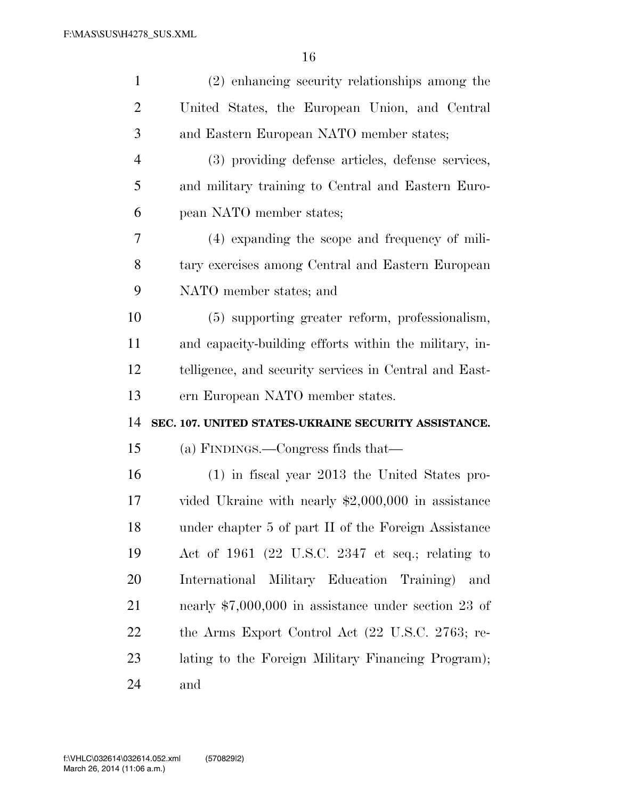| $\mathbf{1}$   | (2) enhancing security relationships among the         |
|----------------|--------------------------------------------------------|
| 2              | United States, the European Union, and Central         |
| 3              | and Eastern European NATO member states;               |
| $\overline{4}$ | (3) providing defense articles, defense services,      |
| 5              | and military training to Central and Eastern Euro-     |
| 6              | pean NATO member states;                               |
| 7              | (4) expanding the scope and frequency of mili-         |
| 8              | tary exercises among Central and Eastern European      |
| 9              | NATO member states; and                                |
| 10             | (5) supporting greater reform, professionalism,        |
| 11             | and capacity-building efforts within the military, in- |
| 12             | telligence, and security services in Central and East- |
|                |                                                        |
| 13             | ern European NATO member states.                       |
| 14             | SEC. 107. UNITED STATES-UKRAINE SECURITY ASSISTANCE.   |
| 15             | (a) FINDINGS.—Congress finds that—                     |
| 16             | $(1)$ in fiscal year 2013 the United States pro-       |
| 17             | vided Ukraine with nearly $$2,000,000$ in assistance   |
| 18             | under chapter 5 of part II of the Foreign Assistance   |
| 19             | Act of 1961 (22 U.S.C. 2347 et seq.; relating to       |
| 20             | International Military Education Training)<br>and      |
| 21             | nearly $$7,000,000$ in assistance under section 23 of  |
| 22             | the Arms Export Control Act (22 U.S.C. 2763; re-       |
| 23             | lating to the Foreign Military Financing Program);     |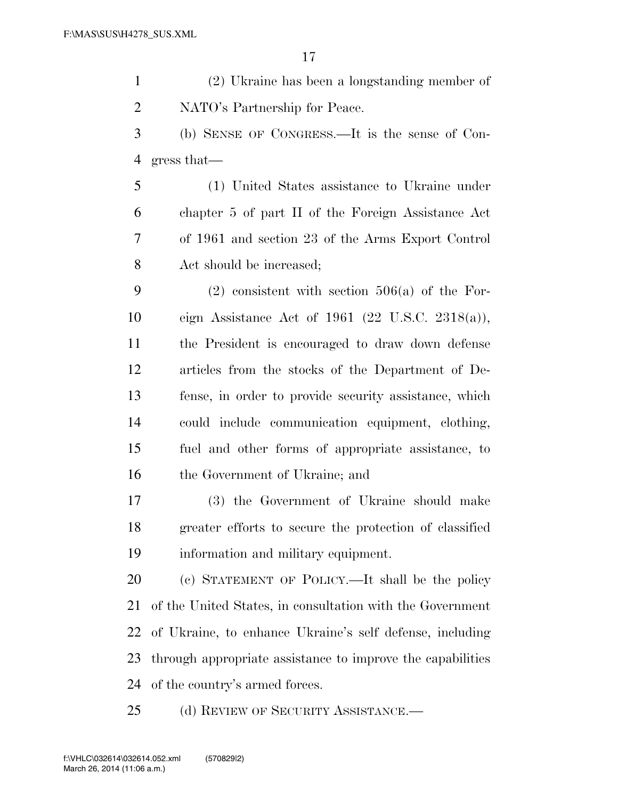(2) Ukraine has been a longstanding member of NATO's Partnership for Peace.

 (b) SENSE OF CONGRESS.—It is the sense of Con-gress that—

 (1) United States assistance to Ukraine under chapter 5 of part II of the Foreign Assistance Act of 1961 and section 23 of the Arms Export Control Act should be increased;

9 (2) consistent with section  $506(a)$  of the For- eign Assistance Act of 1961 (22 U.S.C. 2318(a)), the President is encouraged to draw down defense articles from the stocks of the Department of De- fense, in order to provide security assistance, which could include communication equipment, clothing, fuel and other forms of appropriate assistance, to the Government of Ukraine; and

 (3) the Government of Ukraine should make greater efforts to secure the protection of classified information and military equipment.

 (c) STATEMENT OF POLICY.—It shall be the policy of the United States, in consultation with the Government of Ukraine, to enhance Ukraine's self defense, including through appropriate assistance to improve the capabilities of the country's armed forces.

25 (d) REVIEW OF SECURITY ASSISTANCE.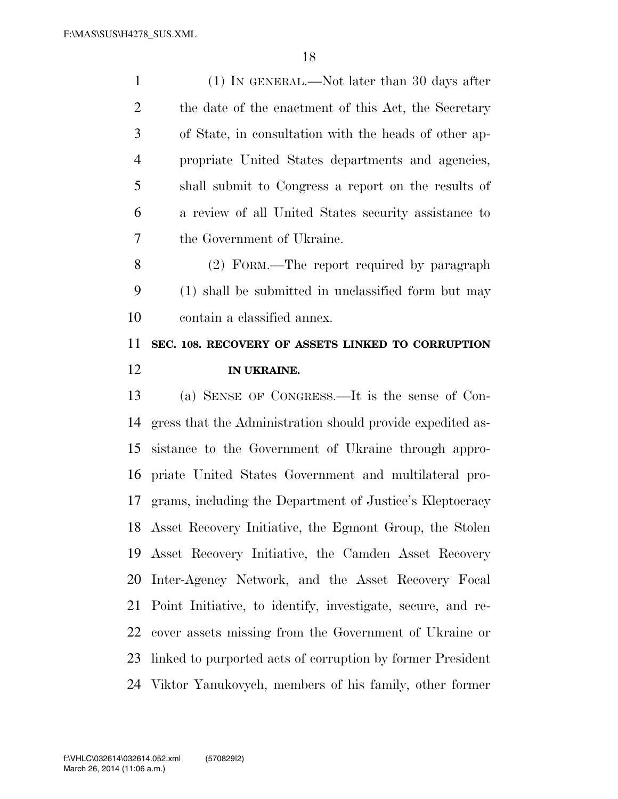(1) IN GENERAL.—Not later than 30 days after 2 the date of the enactment of this Act, the Secretary of State, in consultation with the heads of other ap- propriate United States departments and agencies, shall submit to Congress a report on the results of a review of all United States security assistance to the Government of Ukraine. (2) FORM.—The report required by paragraph (1) shall be submitted in unclassified form but may contain a classified annex.

## **SEC. 108. RECOVERY OF ASSETS LINKED TO CORRUPTION IN UKRAINE.**

 (a) SENSE OF CONGRESS.—It is the sense of Con- gress that the Administration should provide expedited as- sistance to the Government of Ukraine through appro- priate United States Government and multilateral pro- grams, including the Department of Justice's Kleptocracy Asset Recovery Initiative, the Egmont Group, the Stolen Asset Recovery Initiative, the Camden Asset Recovery Inter-Agency Network, and the Asset Recovery Focal Point Initiative, to identify, investigate, secure, and re- cover assets missing from the Government of Ukraine or linked to purported acts of corruption by former President Viktor Yanukovych, members of his family, other former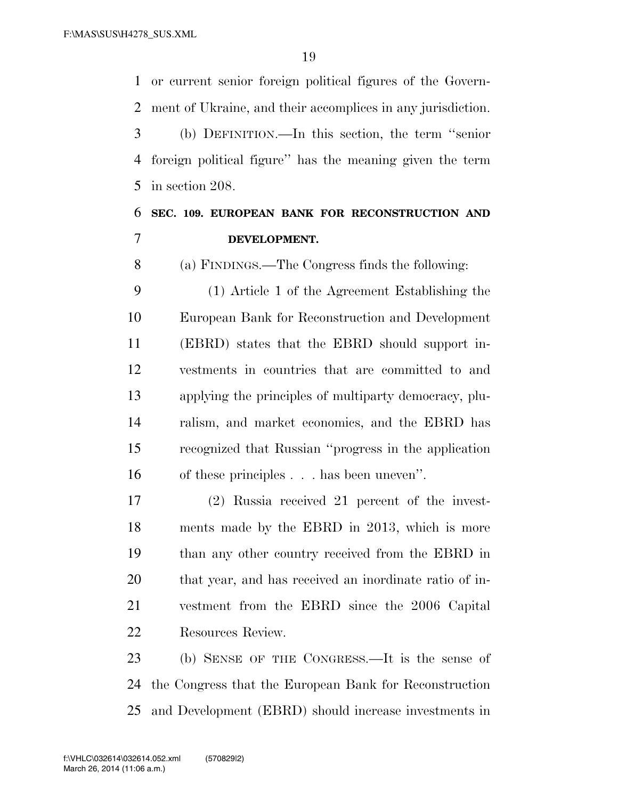or current senior foreign political figures of the Govern-ment of Ukraine, and their accomplices in any jurisdiction.

 (b) DEFINITION.—In this section, the term ''senior foreign political figure'' has the meaning given the term in section 208.

## **SEC. 109. EUROPEAN BANK FOR RECONSTRUCTION AND DEVELOPMENT.**

(a) FINDINGS.—The Congress finds the following:

 (1) Article 1 of the Agreement Establishing the European Bank for Reconstruction and Development (EBRD) states that the EBRD should support in- vestments in countries that are committed to and applying the principles of multiparty democracy, plu- ralism, and market economics, and the EBRD has recognized that Russian ''progress in the application of these principles . . . has been uneven''.

 (2) Russia received 21 percent of the invest- ments made by the EBRD in 2013, which is more than any other country received from the EBRD in that year, and has received an inordinate ratio of in- vestment from the EBRD since the 2006 Capital Resources Review.

 (b) SENSE OF THE CONGRESS.—It is the sense of the Congress that the European Bank for Reconstruction and Development (EBRD) should increase investments in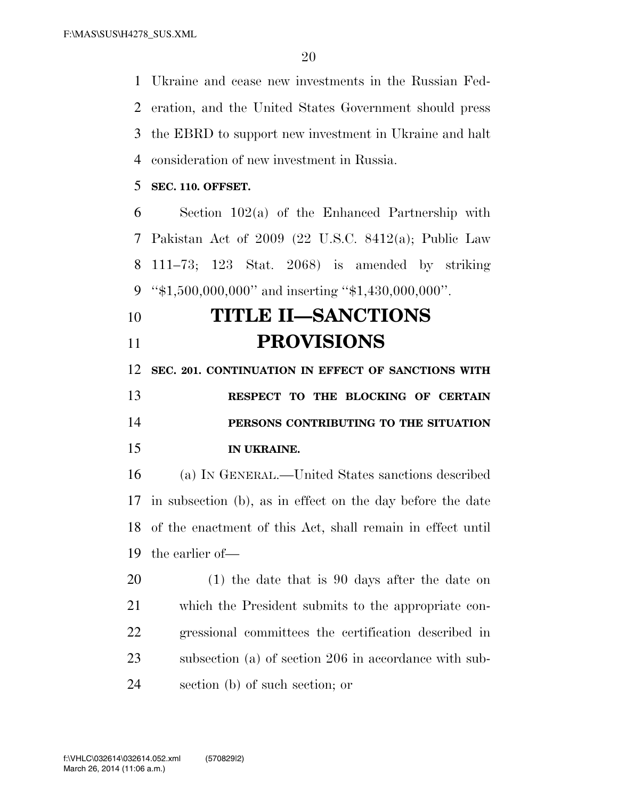Ukraine and cease new investments in the Russian Fed- eration, and the United States Government should press the EBRD to support new investment in Ukraine and halt consideration of new investment in Russia.

**SEC. 110. OFFSET.** 

 Section 102(a) of the Enhanced Partnership with Pakistan Act of 2009 (22 U.S.C. 8412(a); Public Law 111–73; 123 Stat. 2068) is amended by striking ''\$1,500,000,000'' and inserting ''\$1,430,000,000''.

# **TITLE II—SANCTIONS PROVISIONS**

**SEC. 201. CONTINUATION IN EFFECT OF SANCTIONS WITH** 

 **RESPECT TO THE BLOCKING OF CERTAIN PERSONS CONTRIBUTING TO THE SITUATION IN UKRAINE.** 

 (a) IN GENERAL.—United States sanctions described in subsection (b), as in effect on the day before the date of the enactment of this Act, shall remain in effect until the earlier of—

 (1) the date that is 90 days after the date on which the President submits to the appropriate con- gressional committees the certification described in subsection (a) of section 206 in accordance with sub-section (b) of such section; or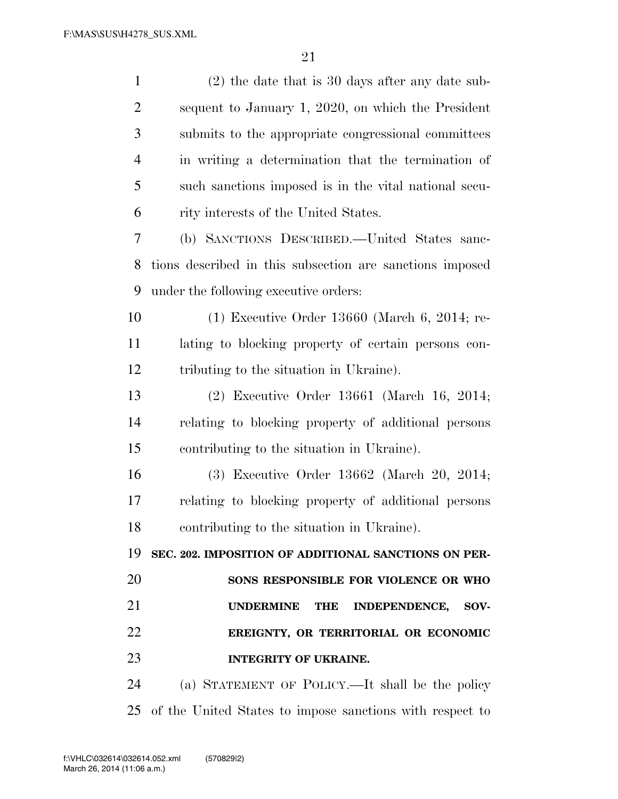| $\mathbf{1}$   | $(2)$ the date that is 30 days after any date sub-             |
|----------------|----------------------------------------------------------------|
| $\overline{2}$ | sequent to January 1, 2020, on which the President             |
| 3              | submits to the appropriate congressional committees            |
| $\overline{4}$ | in writing a determination that the termination of             |
| 5              | such sanctions imposed is in the vital national secu-          |
| 6              | rity interests of the United States.                           |
| 7              | (b) SANCTIONS DESCRIBED.—United States sanc-                   |
| 8              | tions described in this subsection are sanctions imposed       |
| 9              | under the following executive orders:                          |
| 10             | $(1)$ Executive Order 13660 (March 6, 2014; re-                |
| 11             | lating to blocking property of certain persons con-            |
| 12             | tributing to the situation in Ukraine).                        |
| 13             | $(2)$ Executive Order 13661 (March 16, 2014;                   |
| 14             | relating to blocking property of additional persons            |
| 15             | contributing to the situation in Ukraine).                     |
| 16             | (3) Executive Order 13662 (March 20, 2014;                     |
| 17             | relating to blocking property of additional persons            |
| 18             | contributing to the situation in Ukraine).                     |
| 19             | SEC. 202. IMPOSITION OF ADDITIONAL SANCTIONS ON PER-           |
| 20             | SONS RESPONSIBLE FOR VIOLENCE OR WHO                           |
| 21             | <b>UNDERMINE</b><br><b>INDEPENDENCE,</b><br><b>THE</b><br>SOV- |
| 22             | EREIGNTY, OR TERRITORIAL OR ECONOMIC                           |
| 23             | <b>INTEGRITY OF UKRAINE.</b>                                   |
| 24             | (a) STATEMENT OF POLICY.—It shall be the policy                |
| 25             | of the United States to impose sanctions with respect to       |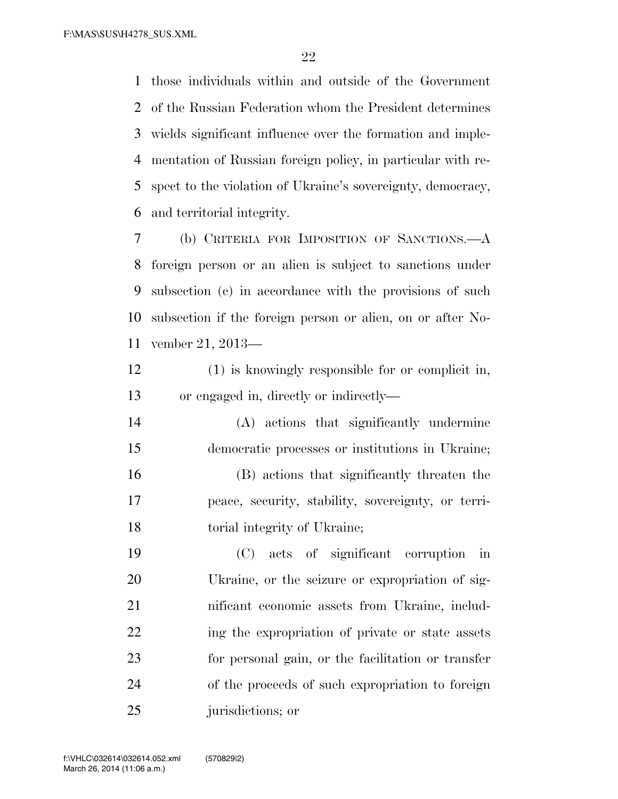those individuals within and outside of the Government of the Russian Federation whom the President determines wields significant influence over the formation and imple- mentation of Russian foreign policy, in particular with re- spect to the violation of Ukraine's sovereignty, democracy, and territorial integrity.

 (b) CRITERIA FOR IMPOSITION OF SANCTIONS.—A foreign person or an alien is subject to sanctions under subsection (c) in accordance with the provisions of such subsection if the foreign person or alien, on or after No-vember 21, 2013—

- (1) is knowingly responsible for or complicit in, or engaged in, directly or indirectly—
- (A) actions that significantly undermine democratic processes or institutions in Ukraine; (B) actions that significantly threaten the peace, security, stability, sovereignty, or terri-torial integrity of Ukraine;
- (C) acts of significant corruption in Ukraine, or the seizure or expropriation of sig- nificant economic assets from Ukraine, includ- ing the expropriation of private or state assets for personal gain, or the facilitation or transfer of the proceeds of such expropriation to foreign 25 jurisdictions; or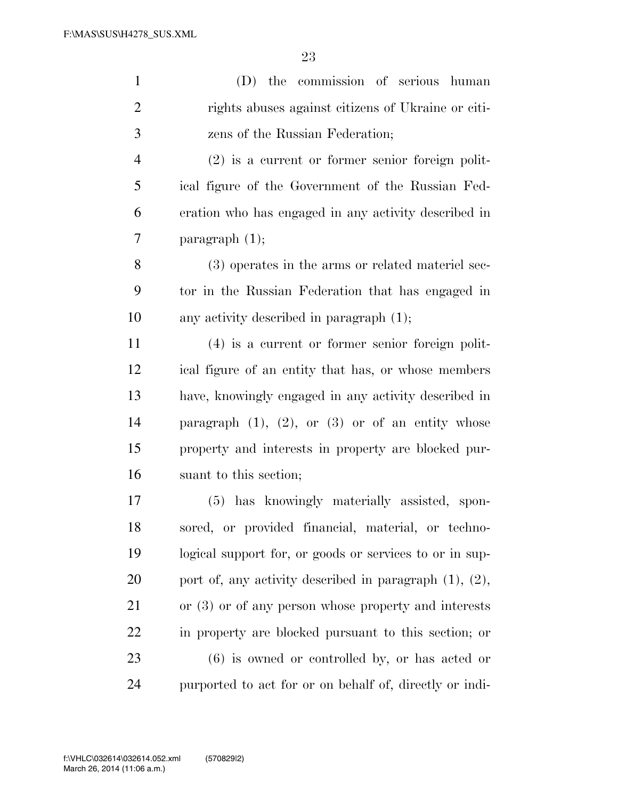| $\mathbf{1}$   | (D) the commission of serious human                          |
|----------------|--------------------------------------------------------------|
| $\overline{c}$ | rights abuses against citizens of Ukraine or citi-           |
| 3              | zens of the Russian Federation;                              |
| $\overline{4}$ | $(2)$ is a current or former senior foreign polit-           |
| 5              | ical figure of the Government of the Russian Fed-            |
| 6              | eration who has engaged in any activity described in         |
| 7              | paragraph $(1)$ ;                                            |
| 8              | (3) operates in the arms or related material sec-            |
| 9              | tor in the Russian Federation that has engaged in            |
| 10             | any activity described in paragraph $(1)$ ;                  |
| 11             | (4) is a current or former senior foreign polit-             |
| 12             | ical figure of an entity that has, or whose members          |
| 13             | have, knowingly engaged in any activity described in         |
| 14             | paragraph $(1)$ , $(2)$ , or $(3)$ or of an entity whose     |
| 15             | property and interests in property are blocked pur-          |
| 16             | suant to this section;                                       |
| 17             | (5) has knowingly materially assisted, spon-                 |
| 18             | sored, or provided financial, material, or techno-           |
| 19             | logical support for, or goods or services to or in sup-      |
| 20             | port of, any activity described in paragraph $(1)$ , $(2)$ , |
| 21             | or $(3)$ or of any person whose property and interests       |
| 22             | in property are blocked pursuant to this section; or         |
| 23             | $(6)$ is owned or controlled by, or has acted or             |
| 24             | purported to act for or on behalf of, directly or indi-      |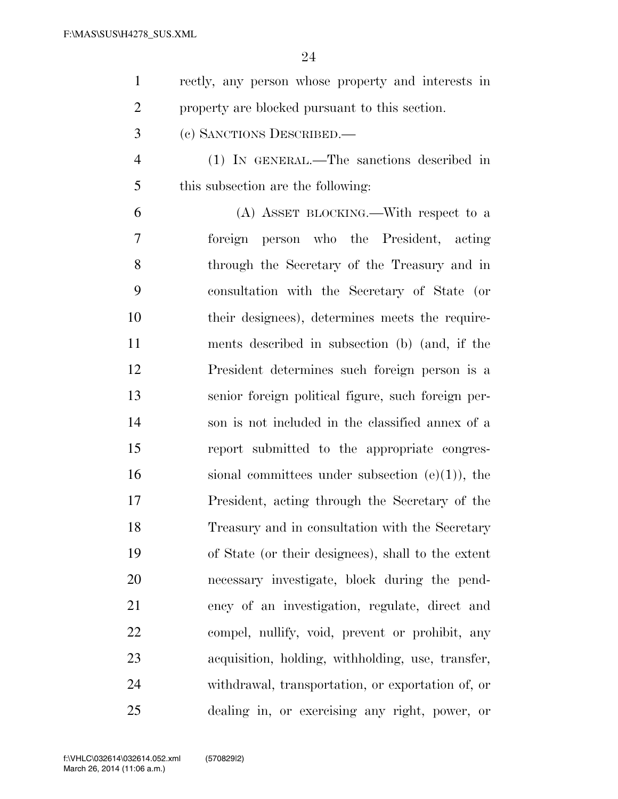| rectly, any person whose property and interests in |
|----------------------------------------------------|
| property are blocked pursuant to this section.     |

- (c) SANCTIONS DESCRIBED.—
- (1) IN GENERAL.—The sanctions described in this subsection are the following:

 (A) ASSET BLOCKING.—With respect to a foreign person who the President, acting through the Secretary of the Treasury and in consultation with the Secretary of State (or their designees), determines meets the require- ments described in subsection (b) (and, if the President determines such foreign person is a senior foreign political figure, such foreign per- son is not included in the classified annex of a report submitted to the appropriate congres-16 sional committees under subsection  $(e)(1)$ , the President, acting through the Secretary of the Treasury and in consultation with the Secretary of State (or their designees), shall to the extent necessary investigate, block during the pend- ency of an investigation, regulate, direct and compel, nullify, void, prevent or prohibit, any acquisition, holding, withholding, use, transfer, withdrawal, transportation, or exportation of, or dealing in, or exercising any right, power, or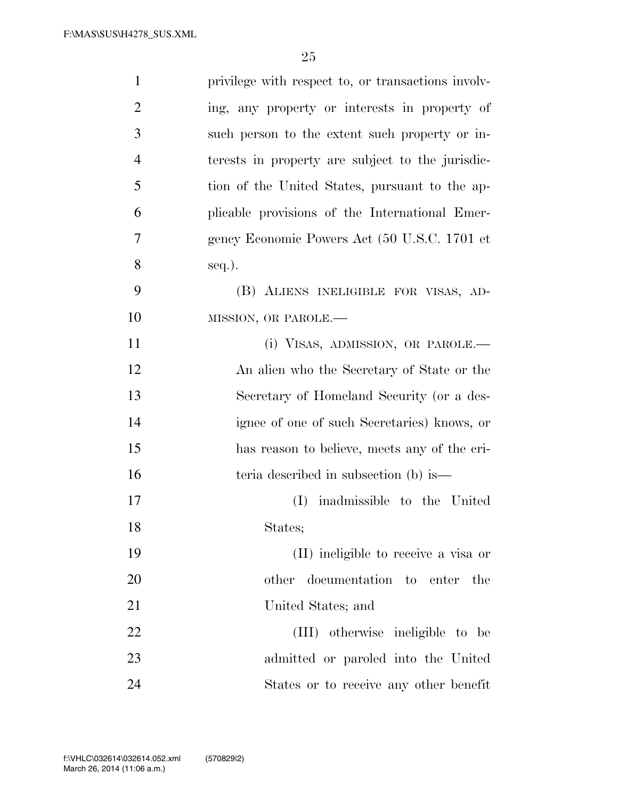| $\mathbf{1}$   | privilege with respect to, or transactions involv- |
|----------------|----------------------------------------------------|
| $\overline{2}$ | ing, any property or interests in property of      |
| 3              | such person to the extent such property or in-     |
| $\overline{4}$ | terests in property are subject to the jurisdic-   |
| 5              | tion of the United States, pursuant to the ap-     |
| 6              | plicable provisions of the International Emer-     |
| 7              | gency Economic Powers Act (50 U.S.C. 1701 et       |
| 8              | $seq.$ ).                                          |
| 9              | (B) ALIENS INELIGIBLE FOR VISAS, AD-               |
| 10             | MISSION, OR PAROLE.-                               |
| 11             | (i) VISAS, ADMISSION, OR PAROLE.—                  |
| 12             | An alien who the Secretary of State or the         |
| 13             | Secretary of Homeland Security (or a des-          |
| 14             | ignee of one of such Secretaries) knows, or        |
| 15             | has reason to believe, meets any of the cri-       |
| 16             | teria described in subsection (b) is—              |
| 17             | inadmissible to the United<br>(I)                  |
| 18             | States;                                            |
| 19             | (II) ineligible to receive a visa or               |
| 20             | other documentation to enter<br>the                |
| 21             | United States; and                                 |
| 22             | (III) otherwise ineligible to be                   |
| 23             | admitted or paroled into the United                |
| 24             | States or to receive any other benefit             |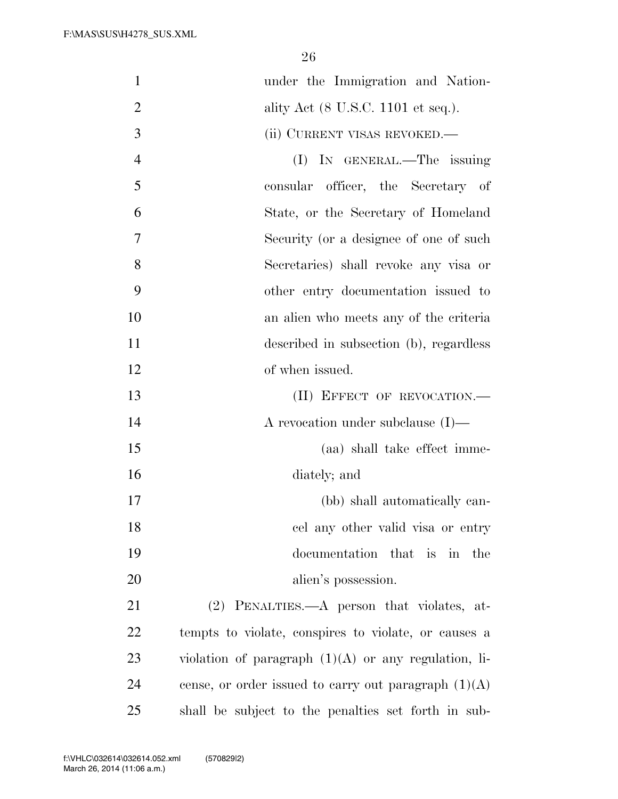| $\mathbf{1}$   | under the Immigration and Nation-                      |
|----------------|--------------------------------------------------------|
| $\overline{2}$ | ality Act (8 U.S.C. 1101 et seq.).                     |
| 3              | (ii) CURRENT VISAS REVOKED.—                           |
| $\overline{4}$ | (I) IN GENERAL.—The issuing                            |
| 5              | consular officer, the Secretary of                     |
| 6              | State, or the Secretary of Homeland                    |
| 7              | Security (or a designee of one of such                 |
| 8              | Secretaries) shall revoke any visa or                  |
| 9              | other entry documentation issued to                    |
| 10             | an alien who meets any of the criteria                 |
| 11             | described in subsection (b), regardless                |
| 12             | of when issued.                                        |
| 13             | (II) EFFECT OF REVOCATION.-                            |
| 14             | A revocation under subclause $(I)$ —                   |
| 15             | (aa) shall take effect imme-                           |
| 16             | diately; and                                           |
| 17             | (bb) shall automatically can-                          |
| 18             | cel any other valid visa or entry                      |
| 19             | documentation that is in<br>the                        |
| 20             | alien's possession.                                    |
| 21             | (2) PENALTIES.—A person that violates, at-             |
| 22             | tempts to violate, conspires to violate, or causes a   |
| 23             | violation of paragraph $(1)(A)$ or any regulation, li- |
| 24             | cense, or order issued to carry out paragraph $(1)(A)$ |
| 25             | shall be subject to the penalties set forth in sub-    |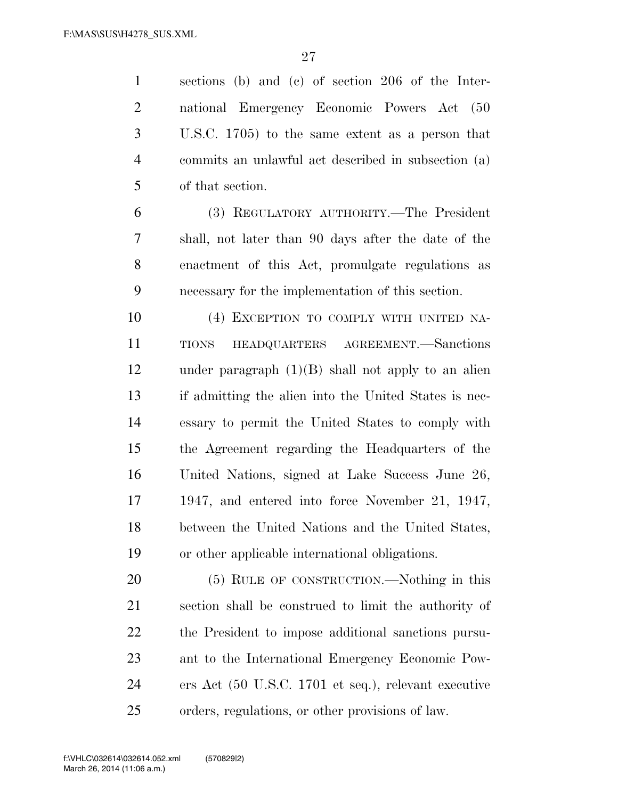sections (b) and (c) of section 206 of the Inter- national Emergency Economic Powers Act (50 U.S.C. 1705) to the same extent as a person that commits an unlawful act described in subsection (a) of that section. (3) REGULATORY AUTHORITY.—The President shall, not later than 90 days after the date of the enactment of this Act, promulgate regulations as necessary for the implementation of this section. (4) EXCEPTION TO COMPLY WITH UNITED NA- TIONS HEADQUARTERS AGREEMENT.—Sanctions under paragraph (1)(B) shall not apply to an alien if admitting the alien into the United States is nec- essary to permit the United States to comply with the Agreement regarding the Headquarters of the United Nations, signed at Lake Success June 26, 1947, and entered into force November 21, 1947, between the United Nations and the United States, or other applicable international obligations. (5) RULE OF CONSTRUCTION.—Nothing in this section shall be construed to limit the authority of the President to impose additional sanctions pursu- ant to the International Emergency Economic Pow-ers Act (50 U.S.C. 1701 et seq.), relevant executive

orders, regulations, or other provisions of law.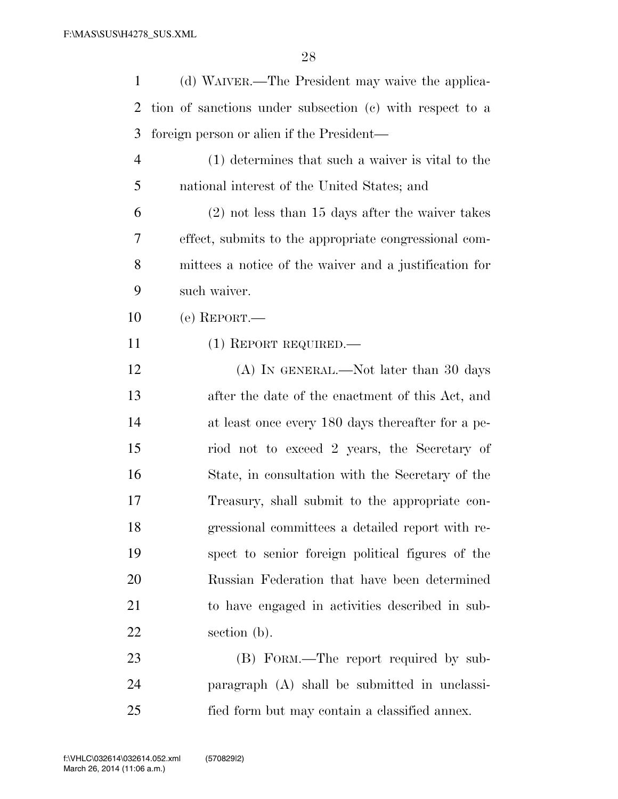| 1              | (d) WAIVER.—The President may waive the applica-         |
|----------------|----------------------------------------------------------|
| 2              | tion of sanctions under subsection (c) with respect to a |
| 3              | foreign person or alien if the President—                |
| $\overline{4}$ | (1) determines that such a waiver is vital to the        |
| 5              | national interest of the United States; and              |
| 6              | $(2)$ not less than 15 days after the waiver takes       |
| 7              | effect, submits to the appropriate congressional com-    |
| 8              | mittees a notice of the waiver and a justification for   |
| 9              | such waiver.                                             |
| 10             | (e) REPORT.—                                             |
| 11             | $(1)$ REPORT REQUIRED.—                                  |
| 12             | (A) IN GENERAL.—Not later than 30 days                   |
| 13             | after the date of the enactment of this Act, and         |
| 14             | at least once every 180 days thereafter for a pe-        |
| 15             | riod not to exceed 2 years, the Secretary of             |
| 16             | State, in consultation with the Secretary of the         |
| 17             | Treasury, shall submit to the appropriate con-           |
| 18             | gressional committees a detailed report with re-         |
| 19             | spect to senior foreign political figures of the         |
| 20             | Russian Federation that have been determined             |
| 21             | to have engaged in activities described in sub-          |
| 22             | section (b).                                             |
| 23             | (B) FORM.—The report required by sub-                    |
| 24             | paragraph (A) shall be submitted in unclassi-            |

fied form but may contain a classified annex.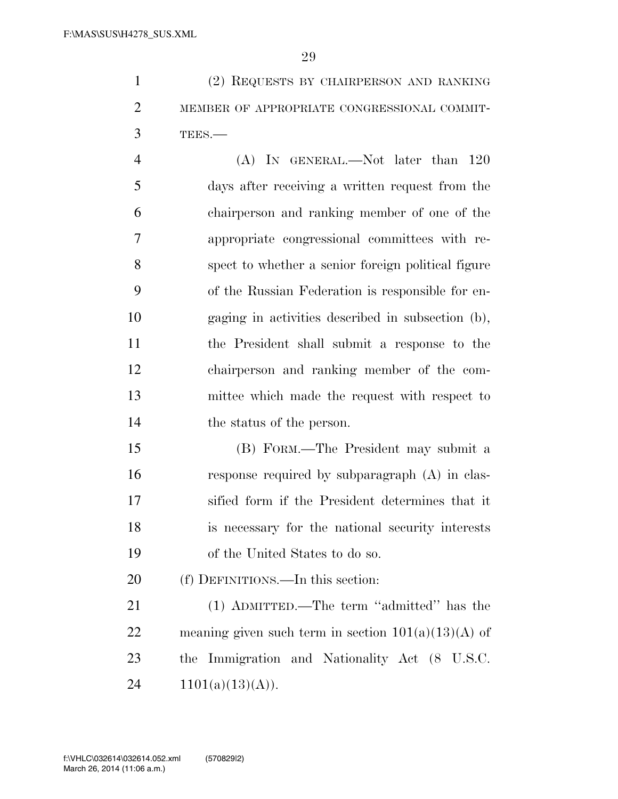(2) REQUESTS BY CHAIRPERSON AND RANKING 2 MEMBER OF APPROPRIATE CONGRESSIONAL COMMIT-TEES.—

 (A) IN GENERAL.—Not later than 120 days after receiving a written request from the chairperson and ranking member of one of the appropriate congressional committees with re- spect to whether a senior foreign political figure of the Russian Federation is responsible for en- gaging in activities described in subsection (b), the President shall submit a response to the chairperson and ranking member of the com- mittee which made the request with respect to the status of the person.

 (B) FORM.—The President may submit a response required by subparagraph (A) in clas- sified form if the President determines that it is necessary for the national security interests of the United States to do so.

(f) DEFINITIONS.—In this section:

 (1) ADMITTED.—The term ''admitted'' has the 22 meaning given such term in section  $101(a)(13)(A)$  of the Immigration and Nationality Act (8 U.S.C.  $1101(a)(13)(A)$ .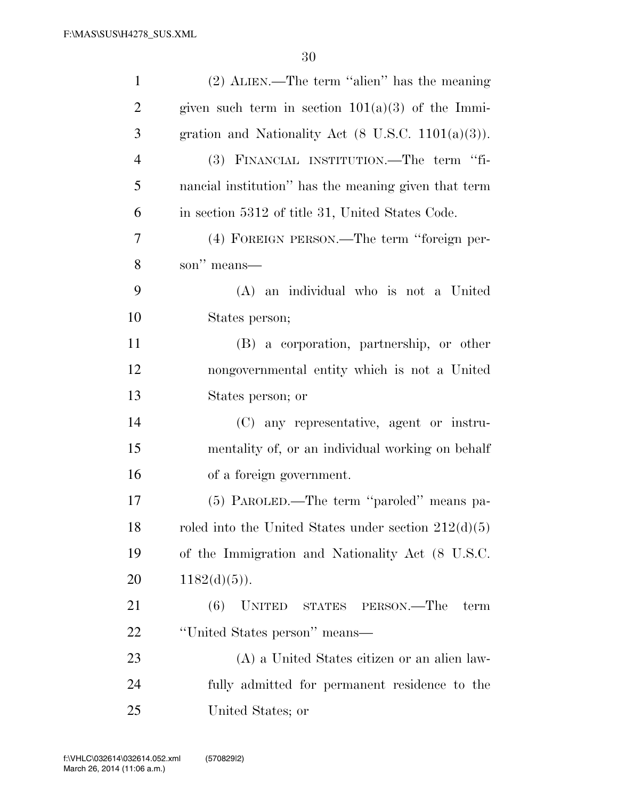| $\mathbf{1}$   | $(2)$ ALIEN.—The term "alien" has the meaning                  |
|----------------|----------------------------------------------------------------|
| $\overline{2}$ | given such term in section $101(a)(3)$ of the Immi-            |
| 3              | gration and Nationality Act $(8 \text{ U.S.C. } 1101(a)(3))$ . |
| $\overline{4}$ | (3) FINANCIAL INSTITUTION.—The term "fi-                       |
| 5              | nancial institution" has the meaning given that term           |
| 6              | in section 5312 of title 31, United States Code.               |
| $\tau$         | (4) FOREIGN PERSON.—The term "foreign per-                     |
| 8              | son" means—                                                    |
| 9              | (A) an individual who is not a United                          |
| 10             | States person;                                                 |
| 11             | (B) a corporation, partnership, or other                       |
| 12             | nongovernmental entity which is not a United                   |
| 13             | States person; or                                              |
| 14             | (C) any representative, agent or instru-                       |
| 15             | mentality of, or an individual working on behalf               |
| 16             | of a foreign government.                                       |
| 17             | (5) PAROLED.—The term "paroled" means pa-                      |
| 18             | roled into the United States under section $212(d)(5)$         |
| 19             | of the Immigration and Nationality Act (8 U.S.C.               |
| 20             | $1182(d)(5)$ ).                                                |
| 21             | UNITED STATES PERSON.—The<br>(6)<br>term                       |
| 22             | "United States person" means-                                  |
| 23             | (A) a United States citizen or an alien law-                   |
| 24             | fully admitted for permanent residence to the                  |
| 25             | United States; or                                              |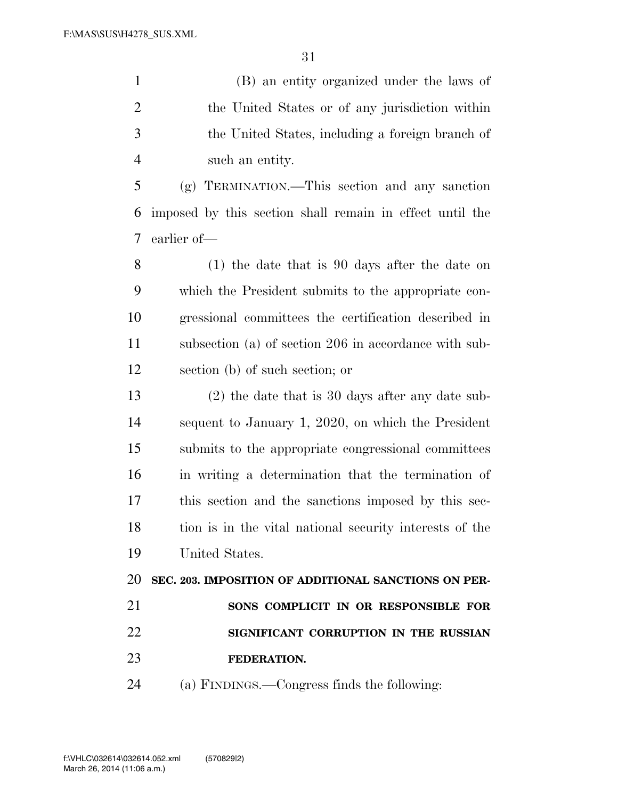(B) an entity organized under the laws of the United States or of any jurisdiction within the United States, including a foreign branch of such an entity.

 (g) TERMINATION.—This section and any sanction imposed by this section shall remain in effect until the earlier of—

 (1) the date that is 90 days after the date on which the President submits to the appropriate con- gressional committees the certification described in subsection (a) of section 206 in accordance with sub-section (b) of such section; or

 (2) the date that is 30 days after any date sub- sequent to January 1, 2020, on which the President submits to the appropriate congressional committees in writing a determination that the termination of this section and the sanctions imposed by this sec- tion is in the vital national security interests of the United States.

 **SEC. 203. IMPOSITION OF ADDITIONAL SANCTIONS ON PER- SONS COMPLICIT IN OR RESPONSIBLE FOR SIGNIFICANT CORRUPTION IN THE RUSSIAN FEDERATION.** 

(a) FINDINGS.—Congress finds the following: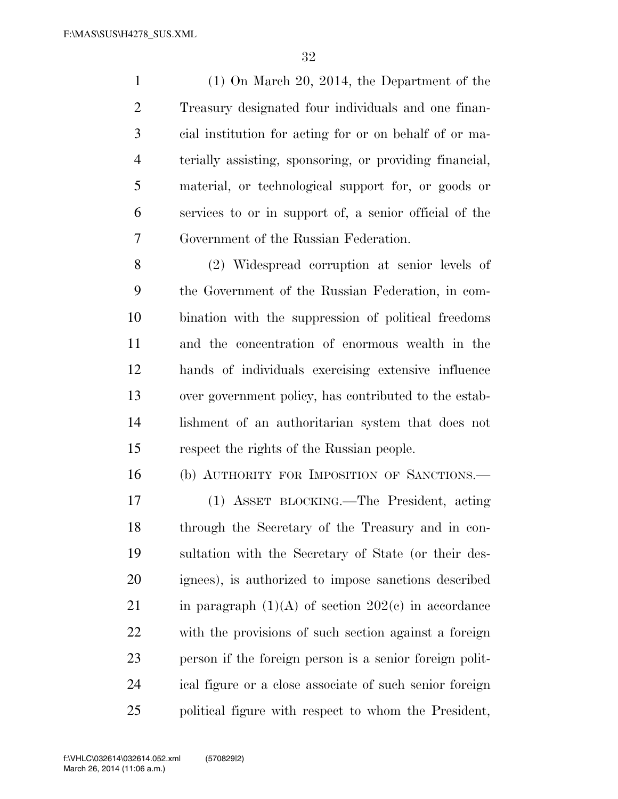(1) On March 20, 2014, the Department of the Treasury designated four individuals and one finan- cial institution for acting for or on behalf of or ma- terially assisting, sponsoring, or providing financial, material, or technological support for, or goods or services to or in support of, a senior official of the Government of the Russian Federation.

 (2) Widespread corruption at senior levels of the Government of the Russian Federation, in com- bination with the suppression of political freedoms and the concentration of enormous wealth in the hands of individuals exercising extensive influence over government policy, has contributed to the estab- lishment of an authoritarian system that does not respect the rights of the Russian people.

(b) AUTHORITY FOR IMPOSITION OF SANCTIONS.—

 (1) ASSET BLOCKING.—The President, acting through the Secretary of the Treasury and in con- sultation with the Secretary of State (or their des- ignees), is authorized to impose sanctions described 21 in paragraph  $(1)(A)$  of section  $202(e)$  in accordance with the provisions of such section against a foreign person if the foreign person is a senior foreign polit- ical figure or a close associate of such senior foreign political figure with respect to whom the President,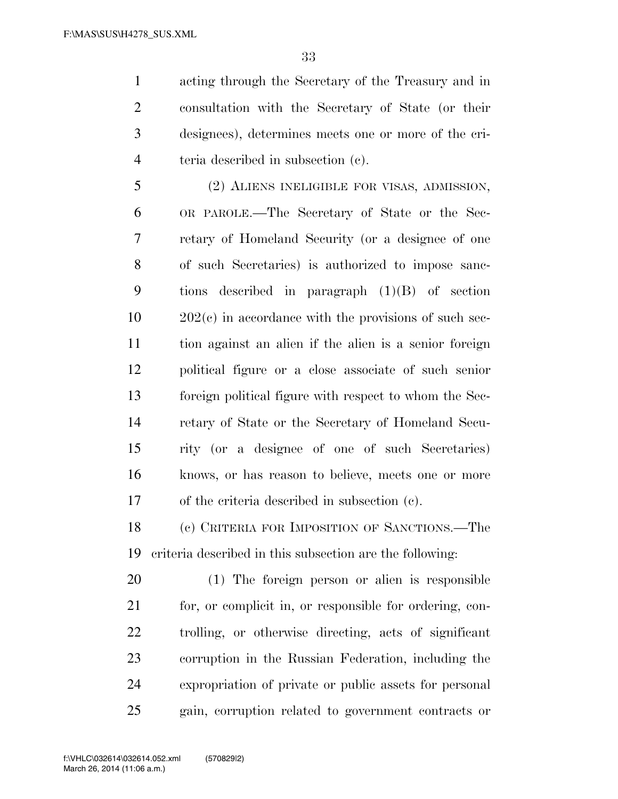acting through the Secretary of the Treasury and in consultation with the Secretary of State (or their designees), determines meets one or more of the cri-teria described in subsection (c).

 (2) ALIENS INELIGIBLE FOR VISAS, ADMISSION, OR PAROLE.—The Secretary of State or the Sec- retary of Homeland Security (or a designee of one of such Secretaries) is authorized to impose sanc- tions described in paragraph (1)(B) of section 202(c) in accordance with the provisions of such sec- tion against an alien if the alien is a senior foreign political figure or a close associate of such senior foreign political figure with respect to whom the Sec- retary of State or the Secretary of Homeland Secu- rity (or a designee of one of such Secretaries) knows, or has reason to believe, meets one or more of the criteria described in subsection (c).

 (c) CRITERIA FOR IMPOSITION OF SANCTIONS.—The criteria described in this subsection are the following:

 (1) The foreign person or alien is responsible for, or complicit in, or responsible for ordering, con- trolling, or otherwise directing, acts of significant corruption in the Russian Federation, including the expropriation of private or public assets for personal gain, corruption related to government contracts or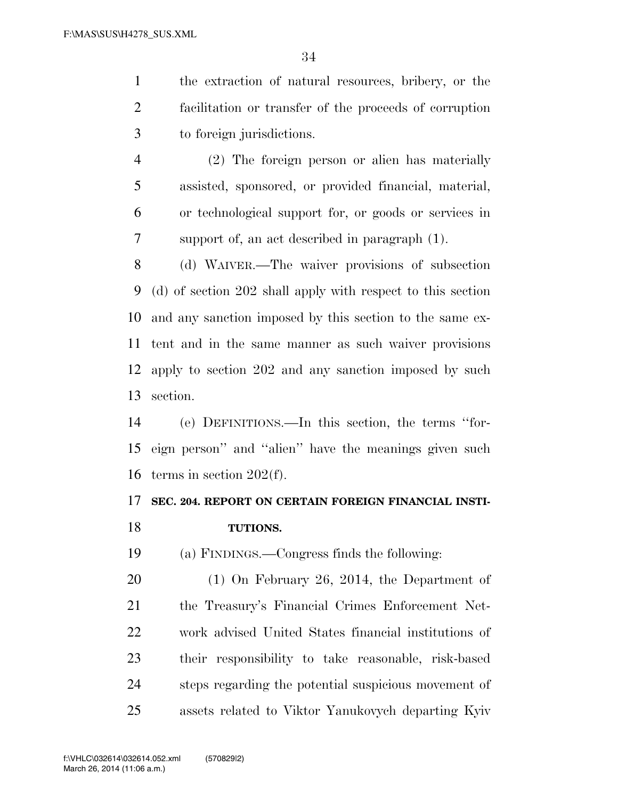the extraction of natural resources, bribery, or the facilitation or transfer of the proceeds of corruption to foreign jurisdictions.

 (2) The foreign person or alien has materially assisted, sponsored, or provided financial, material, or technological support for, or goods or services in support of, an act described in paragraph (1).

 (d) WAIVER.—The waiver provisions of subsection (d) of section 202 shall apply with respect to this section and any sanction imposed by this section to the same ex- tent and in the same manner as such waiver provisions apply to section 202 and any sanction imposed by such section.

 (e) DEFINITIONS.—In this section, the terms ''for- eign person'' and ''alien'' have the meanings given such terms in section 202(f).

### **SEC. 204. REPORT ON CERTAIN FOREIGN FINANCIAL INSTI-**

### **TUTIONS.**

(a) FINDINGS.—Congress finds the following:

 (1) On February 26, 2014, the Department of the Treasury's Financial Crimes Enforcement Net- work advised United States financial institutions of their responsibility to take reasonable, risk-based steps regarding the potential suspicious movement of assets related to Viktor Yanukovych departing Kyiv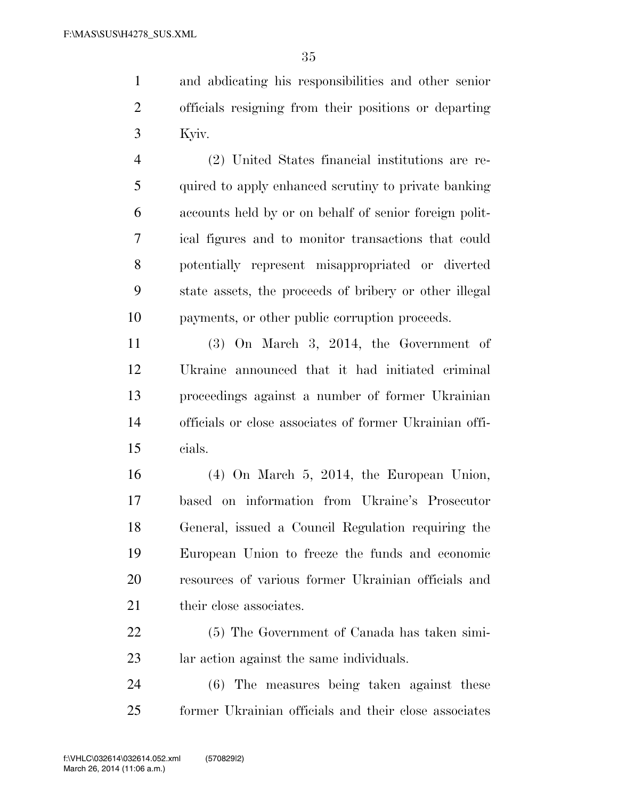and abdicating his responsibilities and other senior officials resigning from their positions or departing Kyiv.

 (2) United States financial institutions are re- quired to apply enhanced scrutiny to private banking accounts held by or on behalf of senior foreign polit- ical figures and to monitor transactions that could potentially represent misappropriated or diverted state assets, the proceeds of bribery or other illegal payments, or other public corruption proceeds.

 (3) On March 3, 2014, the Government of Ukraine announced that it had initiated criminal proceedings against a number of former Ukrainian officials or close associates of former Ukrainian offi-cials.

 (4) On March 5, 2014, the European Union, based on information from Ukraine's Prosecutor General, issued a Council Regulation requiring the European Union to freeze the funds and economic resources of various former Ukrainian officials and 21 their close associates.

 (5) The Government of Canada has taken simi-lar action against the same individuals.

 (6) The measures being taken against these former Ukrainian officials and their close associates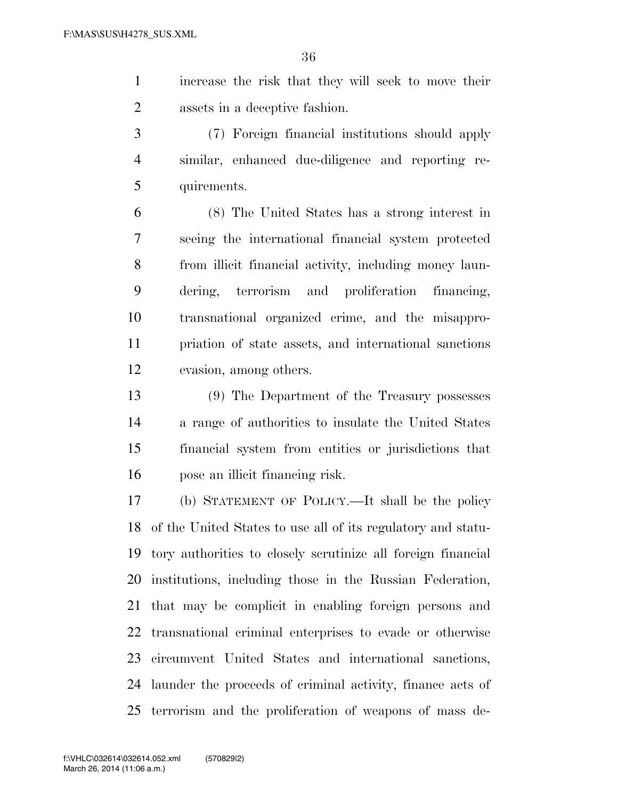increase the risk that they will seek to move their assets in a deceptive fashion.

 (7) Foreign financial institutions should apply similar, enhanced due-diligence and reporting re-quirements.

 (8) The United States has a strong interest in seeing the international financial system protected from illicit financial activity, including money laun- dering, terrorism and proliferation financing, transnational organized crime, and the misappro- priation of state assets, and international sanctions evasion, among others.

 (9) The Department of the Treasury possesses a range of authorities to insulate the United States financial system from entities or jurisdictions that pose an illicit financing risk.

 (b) STATEMENT OF POLICY.—It shall be the policy of the United States to use all of its regulatory and statu- tory authorities to closely scrutinize all foreign financial institutions, including those in the Russian Federation, that may be complicit in enabling foreign persons and transnational criminal enterprises to evade or otherwise circumvent United States and international sanctions, launder the proceeds of criminal activity, finance acts of terrorism and the proliferation of weapons of mass de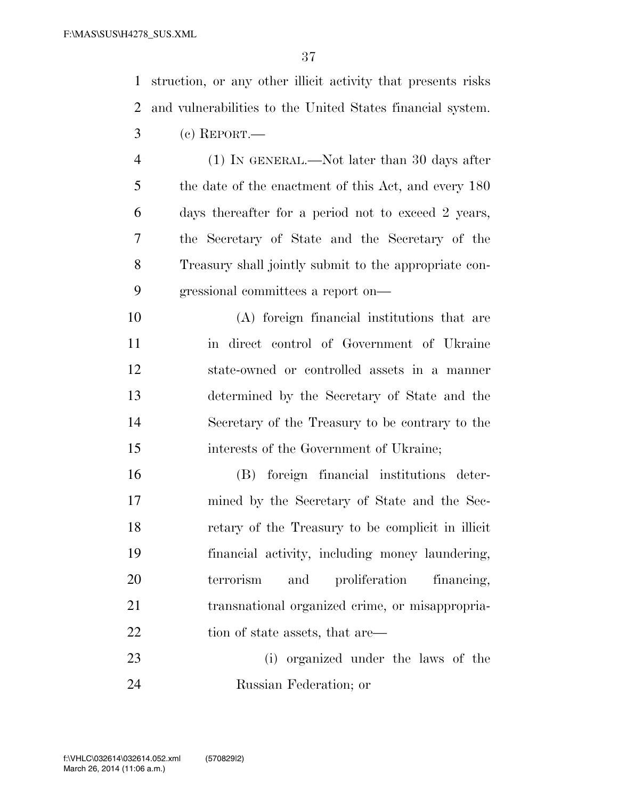struction, or any other illicit activity that presents risks and vulnerabilities to the United States financial system. (c) REPORT.—

- (1) IN GENERAL.—Not later than 30 days after 5 the date of the enactment of this Act, and every 180 days thereafter for a period not to exceed 2 years, the Secretary of State and the Secretary of the Treasury shall jointly submit to the appropriate con-gressional committees a report on—
- (A) foreign financial institutions that are in direct control of Government of Ukraine state-owned or controlled assets in a manner determined by the Secretary of State and the Secretary of the Treasury to be contrary to the interests of the Government of Ukraine;
- (B) foreign financial institutions deter- mined by the Secretary of State and the Sec- retary of the Treasury to be complicit in illicit financial activity, including money laundering, terrorism and proliferation financing, transnational organized crime, or misappropria-22 tion of state assets, that are—
- (i) organized under the laws of the Russian Federation; or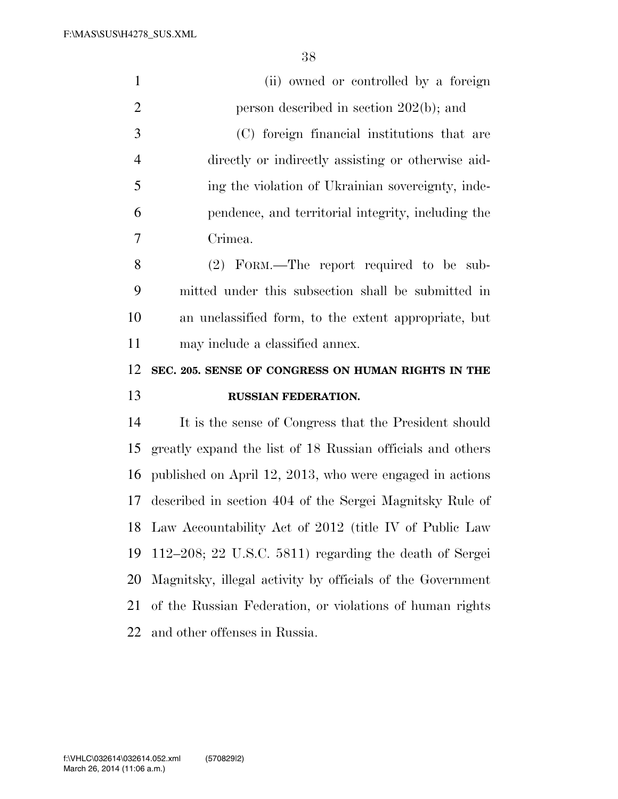| $\mathbf{1}$   | (ii) owned or controlled by a foreign                      |
|----------------|------------------------------------------------------------|
| $\overline{2}$ | person described in section $202(b)$ ; and                 |
| 3              | (C) foreign financial institutions that are                |
| $\overline{4}$ | directly or indirectly assisting or otherwise aid-         |
| 5              | ing the violation of Ukrainian sovereignty, inde-          |
| 6              | pendence, and territorial integrity, including the         |
| 7              | Crimea.                                                    |
| 8              | (2) FORM.—The report required to be sub-                   |
| 9              | mitted under this subsection shall be submitted in         |
| 10             | an unclassified form, to the extent appropriate, but       |
| 11             | may include a classified annex.                            |
|                |                                                            |
| 12             | SEC. 205. SENSE OF CONGRESS ON HUMAN RIGHTS IN THE         |
| 13             | <b>RUSSIAN FEDERATION.</b>                                 |
| 14             | It is the sense of Congress that the President should      |
| 15             | greatly expand the list of 18 Russian officials and others |
| 16             | published on April 12, 2013, who were engaged in actions   |
| 17             | described in section 404 of the Sergei Magnitsky Rule of   |
| 18             | Law Accountability Act of 2012 (title IV of Public Law     |
| 19             | 112-208; 22 U.S.C. 5811) regarding the death of Sergei     |
| 20             | Magnitsky, illegal activity by officials of the Government |
| 21             | of the Russian Federation, or violations of human rights   |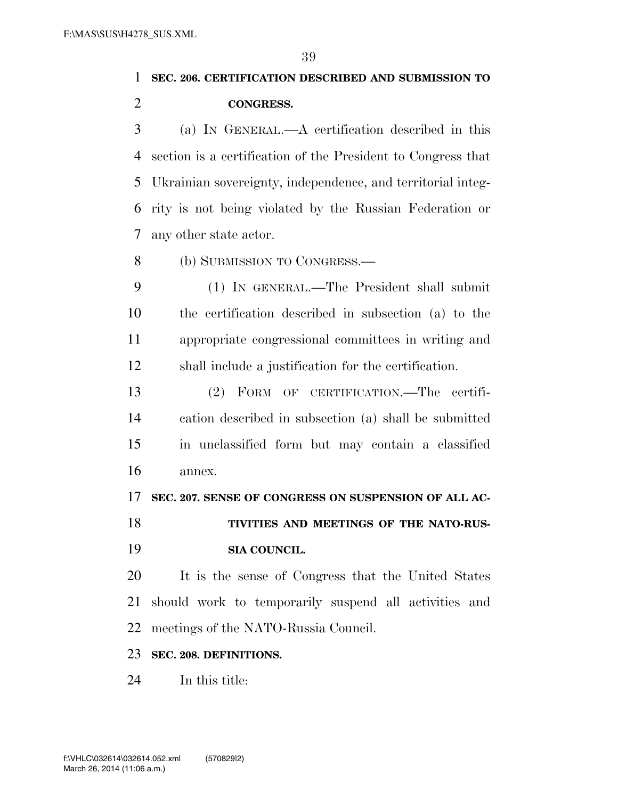## **SEC. 206. CERTIFICATION DESCRIBED AND SUBMISSION TO CONGRESS.**

 (a) IN GENERAL.—A certification described in this section is a certification of the President to Congress that Ukrainian sovereignty, independence, and territorial integ- rity is not being violated by the Russian Federation or any other state actor.

(b) SUBMISSION TO CONGRESS.—

 (1) IN GENERAL.—The President shall submit the certification described in subsection (a) to the appropriate congressional committees in writing and shall include a justification for the certification.

 (2) FORM OF CERTIFICATION.—The certifi- cation described in subsection (a) shall be submitted in unclassified form but may contain a classified annex.

**SEC. 207. SENSE OF CONGRESS ON SUSPENSION OF ALL AC-**

**TIVITIES AND MEETINGS OF THE NATO-RUS-**

**SIA COUNCIL.** 

 It is the sense of Congress that the United States should work to temporarily suspend all activities and meetings of the NATO-Russia Council.

### **SEC. 208. DEFINITIONS.**

In this title: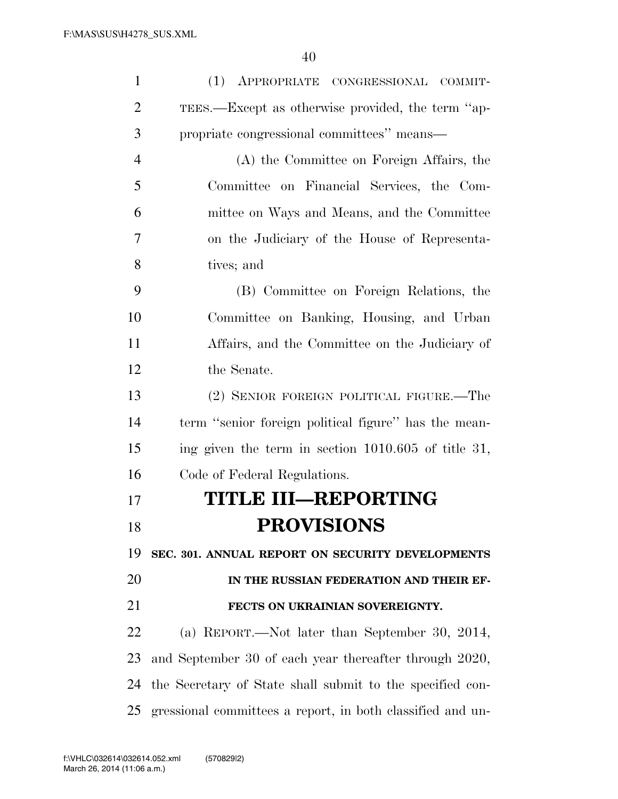| $\mathbf{1}$   | (1) APPROPRIATE CONGRESSIONAL COMMIT-                      |
|----------------|------------------------------------------------------------|
| $\overline{2}$ | TEES.—Except as otherwise provided, the term "ap-          |
| 3              | propriate congressional committees" means-                 |
| $\overline{4}$ | (A) the Committee on Foreign Affairs, the                  |
| 5              | Committee on Financial Services, the Com-                  |
| 6              | mittee on Ways and Means, and the Committee                |
| 7              | on the Judiciary of the House of Representa-               |
| 8              | tives; and                                                 |
| 9              | (B) Committee on Foreign Relations, the                    |
| 10             | Committee on Banking, Housing, and Urban                   |
| 11             | Affairs, and the Committee on the Judiciary of             |
| 12             | the Senate.                                                |
| 13             | (2) SENIOR FOREIGN POLITICAL FIGURE.—The                   |
| 14             | term "senior foreign political figure" has the mean-       |
| 15             | ing given the term in section $1010.605$ of title 31,      |
| 16             | Code of Federal Regulations.                               |
| 17             | <b>TITLE III-REPORTING</b>                                 |
| 18             | <b>PROVISIONS</b>                                          |
| 19             | SEC. 301. ANNUAL REPORT ON SECURITY DEVELOPMENTS           |
| 20             | IN THE RUSSIAN FEDERATION AND THEIR EF-                    |
| 21             | FECTS ON UKRAINIAN SOVEREIGNTY.                            |
| 22             | (a) REPORT.—Not later than September 30, 2014,             |
| 23             | and September 30 of each year thereafter through 2020,     |
| 24             | the Secretary of State shall submit to the specified con-  |
| 25             | gressional committees a report, in both classified and un- |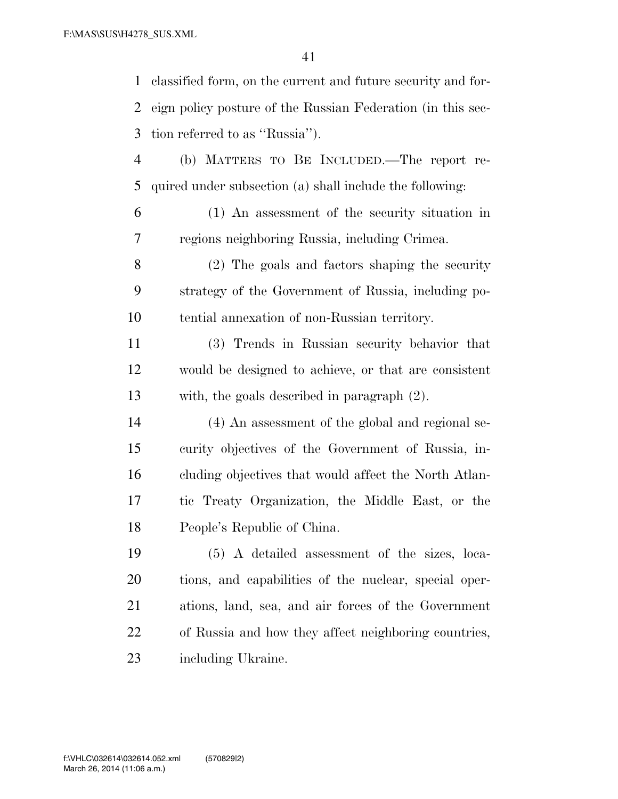classified form, on the current and future security and for- eign policy posture of the Russian Federation (in this sec- tion referred to as ''Russia''). (b) MATTERS TO BE INCLUDED.—The report re- quired under subsection (a) shall include the following: (1) An assessment of the security situation in regions neighboring Russia, including Crimea. (2) The goals and factors shaping the security strategy of the Government of Russia, including po- tential annexation of non-Russian territory. (3) Trends in Russian security behavior that would be designed to achieve, or that are consistent with, the goals described in paragraph (2). (4) An assessment of the global and regional se- curity objectives of the Government of Russia, in-cluding objectives that would affect the North Atlan-

 tic Treaty Organization, the Middle East, or the People's Republic of China.

 (5) A detailed assessment of the sizes, loca- tions, and capabilities of the nuclear, special oper- ations, land, sea, and air forces of the Government of Russia and how they affect neighboring countries, including Ukraine.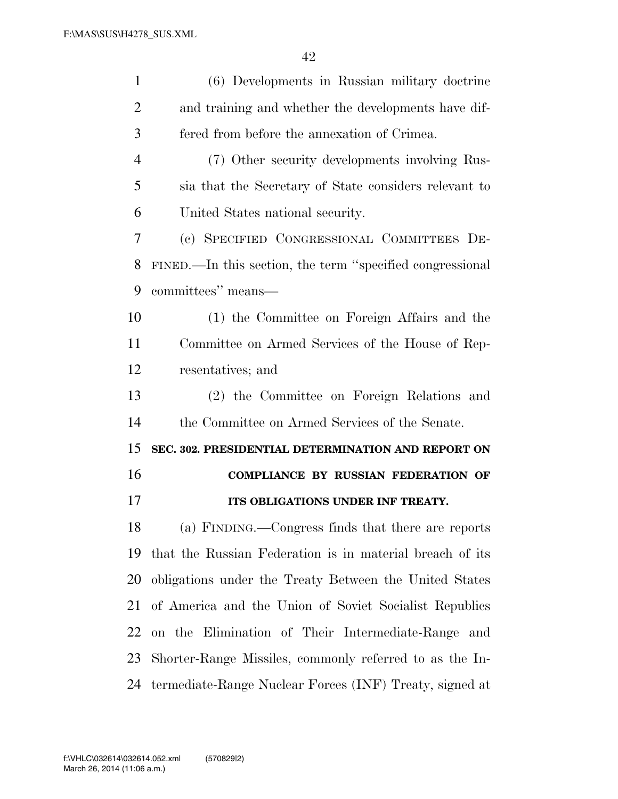| $\mathbf{1}$   | (6) Developments in Russian military doctrine             |
|----------------|-----------------------------------------------------------|
| $\overline{2}$ | and training and whether the developments have dif-       |
| 3              | fered from before the annexation of Crimea.               |
| $\overline{4}$ | (7) Other security developments involving Rus-            |
| 5              | sia that the Secretary of State considers relevant to     |
| 6              | United States national security.                          |
| 7              | (c) SPECIFIED CONGRESSIONAL COMMITTEES DE-                |
| 8              | FINED.—In this section, the term "specified congressional |
| 9              | committees" means—                                        |
| 10             | (1) the Committee on Foreign Affairs and the              |
| 11             | Committee on Armed Services of the House of Rep-          |
| 12             | resentatives; and                                         |
| 13             | (2) the Committee on Foreign Relations and                |
| 14             | the Committee on Armed Services of the Senate.            |
| 15             | SEC. 302. PRESIDENTIAL DETERMINATION AND REPORT ON        |
| 16             | <b>COMPLIANCE BY RUSSIAN FEDERATION OF</b>                |
| 17             | ITS OBLIGATIONS UNDER INF TREATY.                         |
| 18             | (a) FINDING.—Congress finds that there are reports        |
| 19             | that the Russian Federation is in material breach of its  |
| 20             | obligations under the Treaty Between the United States    |
| 21             | of America and the Union of Soviet Socialist Republics    |
| 22             | on the Elimination of Their Intermediate-Range and        |
| 23             | Shorter-Range Missiles, commonly referred to as the In-   |
| 24             | termediate-Range Nuclear Forces (INF) Treaty, signed at   |
|                |                                                           |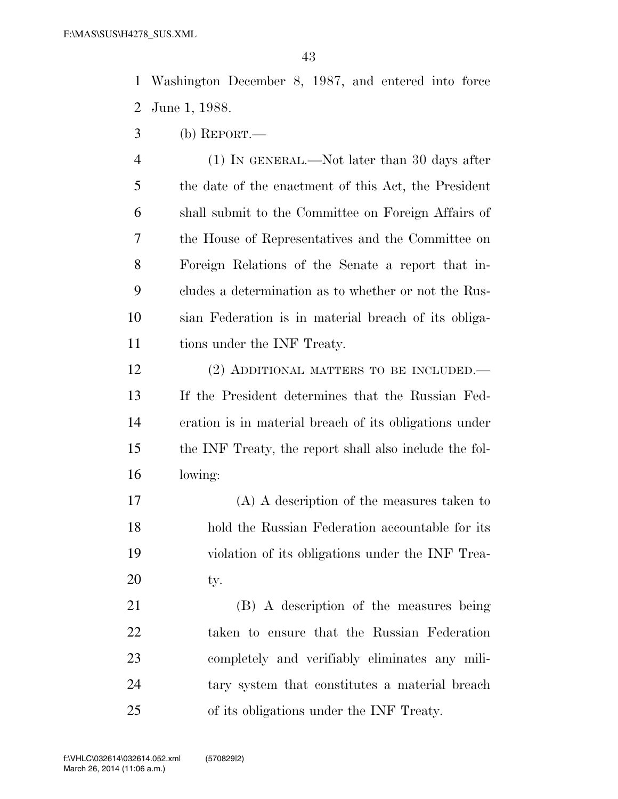Washington December 8, 1987, and entered into force June 1, 1988.

(b) REPORT.—

 (1) IN GENERAL.—Not later than 30 days after the date of the enactment of this Act, the President shall submit to the Committee on Foreign Affairs of the House of Representatives and the Committee on Foreign Relations of the Senate a report that in- cludes a determination as to whether or not the Rus- sian Federation is in material breach of its obliga-11 tions under the INF Treaty.

 (2) ADDITIONAL MATTERS TO BE INCLUDED.— If the President determines that the Russian Fed- eration is in material breach of its obligations under the INF Treaty, the report shall also include the fol-lowing:

 (A) A description of the measures taken to hold the Russian Federation accountable for its violation of its obligations under the INF Trea-20 ty.

 (B) A description of the measures being taken to ensure that the Russian Federation completely and verifiably eliminates any mili- tary system that constitutes a material breach of its obligations under the INF Treaty.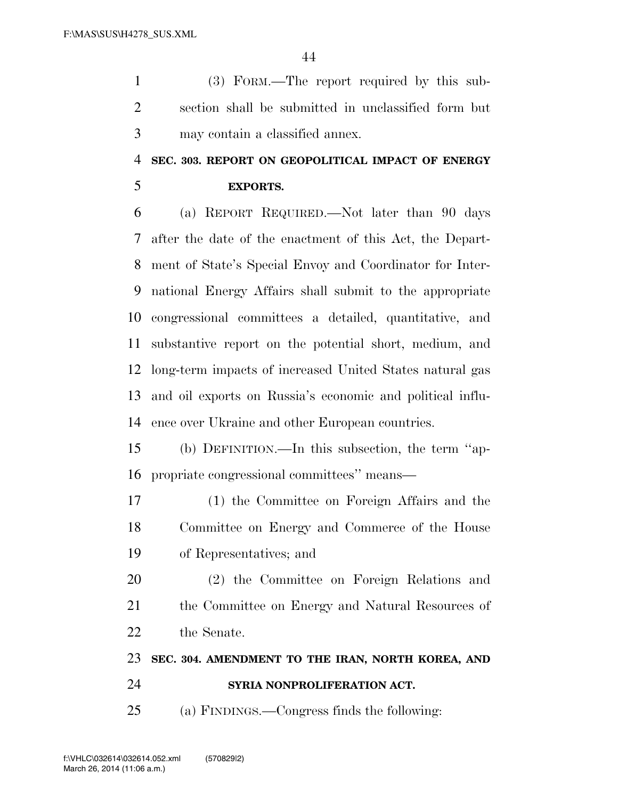(3) FORM.—The report required by this sub- section shall be submitted in unclassified form but may contain a classified annex.

## **SEC. 303. REPORT ON GEOPOLITICAL IMPACT OF ENERGY**

**EXPORTS.** 

 (a) REPORT REQUIRED.—Not later than 90 days after the date of the enactment of this Act, the Depart- ment of State's Special Envoy and Coordinator for Inter- national Energy Affairs shall submit to the appropriate congressional committees a detailed, quantitative, and substantive report on the potential short, medium, and long-term impacts of increased United States natural gas and oil exports on Russia's economic and political influ-ence over Ukraine and other European countries.

 (b) DEFINITION.—In this subsection, the term ''ap-propriate congressional committees'' means—

 (1) the Committee on Foreign Affairs and the Committee on Energy and Commerce of the House of Representatives; and

 (2) the Committee on Foreign Relations and 21 the Committee on Energy and Natural Resources of the Senate.

### **SEC. 304. AMENDMENT TO THE IRAN, NORTH KOREA, AND**

- **SYRIA NONPROLIFERATION ACT.**
- (a) FINDINGS.—Congress finds the following: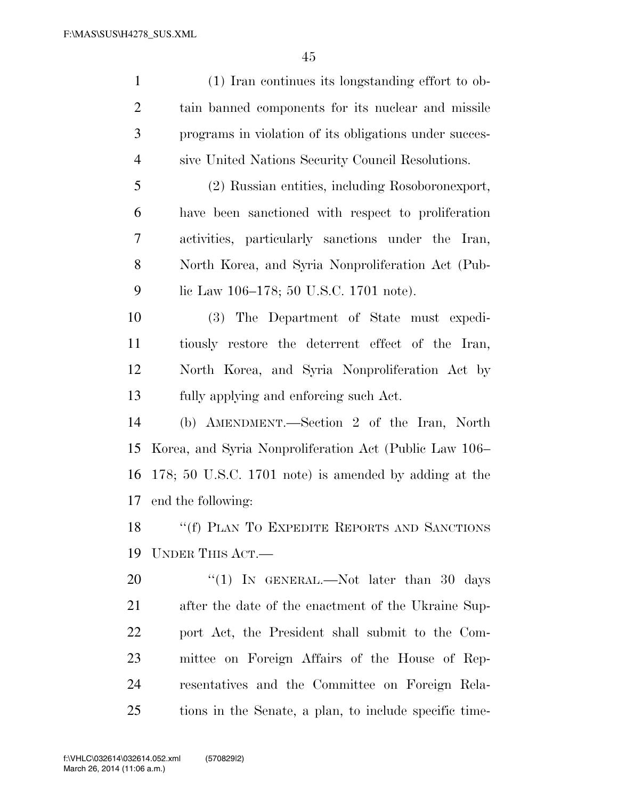| $\mathbf{1}$   | (1) Iran continues its longstanding effort to ob-      |
|----------------|--------------------------------------------------------|
| $\overline{2}$ | tain banned components for its nuclear and missile     |
| 3              | programs in violation of its obligations under succes- |
| $\overline{4}$ | sive United Nations Security Council Resolutions.      |
| 5              | (2) Russian entities, including Rosoboronexport,       |
| 6              | have been sanctioned with respect to proliferation     |
| $\overline{7}$ | activities, particularly sanctions under the Iran,     |
| 8              | North Korea, and Syria Nonproliferation Act (Pub-      |
| 9              | lic Law 106–178; 50 U.S.C. 1701 note).                 |
| 10             | (3) The Department of State must expedi-               |
| 11             | tiously restore the deterrent effect of the Iran,      |
| 12             | North Korea, and Syria Nonproliferation Act by         |
| 13             | fully applying and enforcing such Act.                 |
| 14             | (b) AMENDMENT.—Section 2 of the Iran, North            |
| 15             | Korea, and Syria Nonproliferation Act (Public Law 106– |
| 16             | 178; 50 U.S.C. 1701 note) is amended by adding at the  |
| 17             | end the following:                                     |
|                | 18 "(f) PLAN TO EXPEDITE REPORTS AND SANCTIONS         |
| 19             | UNDER THIS ACT.                                        |
| 20             | "(1) IN GENERAL.—Not later than 30 days                |
| 21             | after the date of the enactment of the Ukraine Sup-    |
| 22             | port Act, the President shall submit to the Com-       |
| 23             | mittee on Foreign Affairs of the House of Rep-         |
| 24             | resentatives and the Committee on Foreign Rela-        |

tions in the Senate, a plan, to include specific time-